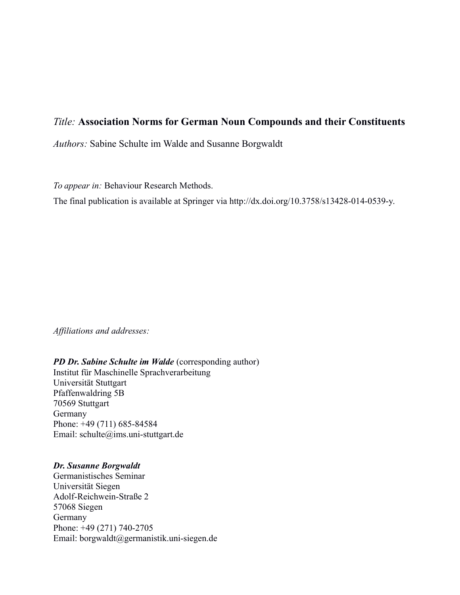# *Title:* **Association Norms for German Noun Compounds and their Constituents**

*Authors:* Sabine Schulte im Walde and Susanne Borgwaldt

*To appear in:* Behaviour Research Methods.

The final publication is available at Springer via http://dx.doi.org/10.3758/s13428-014-0539-y.

*Affiliations and addresses:*

#### *PD Dr. Sabine Schulte im Walde* (corresponding author)

Institut für Maschinelle Sprachverarbeitung Universität Stuttgart Pfaffenwaldring 5B 70569 Stuttgart Germany Phone: +49 (711) 685-84584 Email: schulte@ims.uni-stuttgart.de

#### *Dr. Susanne Borgwaldt*

Germanistisches Seminar Universität Siegen Adolf-Reichwein-Straße 2 57068 Siegen Germany Phone: +49 (271) 740-2705 Email: borgwaldt@germanistik.uni-siegen.de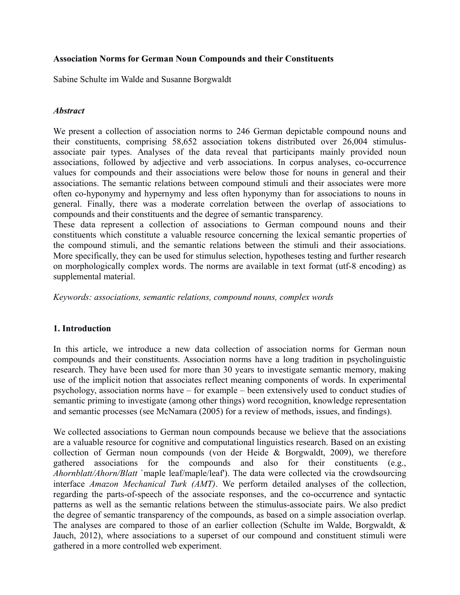# **Association Norms for German Noun Compounds and their Constituents**

Sabine Schulte im Walde and Susanne Borgwaldt

# *Abstract*

We present a collection of association norms to 246 German depictable compound nouns and their constituents, comprising 58,652 association tokens distributed over 26,004 stimulusassociate pair types. Analyses of the data reveal that participants mainly provided noun associations, followed by adjective and verb associations. In corpus analyses, co-occurrence values for compounds and their associations were below those for nouns in general and their associations. The semantic relations between compound stimuli and their associates were more often co-hyponymy and hypernymy and less often hyponymy than for associations to nouns in general. Finally, there was a moderate correlation between the overlap of associations to compounds and their constituents and the degree of semantic transparency.

These data represent a collection of associations to German compound nouns and their constituents which constitute a valuable resource concerning the lexical semantic properties of the compound stimuli, and the semantic relations between the stimuli and their associations. More specifically, they can be used for stimulus selection, hypotheses testing and further research on morphologically complex words. The norms are available in text format (utf-8 encoding) as supplemental material.

*Keywords: associations, semantic relations, compound nouns, complex words*

# **1. Introduction**

In this article, we introduce a new data collection of association norms for German noun compounds and their constituents. Association norms have a long tradition in psycholinguistic research. They have been used for more than 30 years to investigate semantic memory, making use of the implicit notion that associates reflect meaning components of words. In experimental psychology, association norms have – for example – been extensively used to conduct studies of semantic priming to investigate (among other things) word recognition, knowledge representation and semantic processes (see McNamara (2005) for a review of methods, issues, and findings).

We collected associations to German noun compounds because we believe that the associations are a valuable resource for cognitive and computational linguistics research. Based on an existing collection of German noun compounds (von der Heide & Borgwaldt, 2009), we therefore gathered associations for the compounds and also for their constituents (e.g., *Ahornblatt/Ahorn/Blatt* `maple leaf/maple/leaf'). The data were collected via the crowdsourcing interface *Amazon Mechanical Turk (AMT)*. We perform detailed analyses of the collection, regarding the parts-of-speech of the associate responses, and the co-occurrence and syntactic patterns as well as the semantic relations between the stimulus-associate pairs. We also predict the degree of semantic transparency of the compounds, as based on a simple association overlap. The analyses are compared to those of an earlier collection (Schulte im Walde, Borgwaldt, & Jauch, 2012), where associations to a superset of our compound and constituent stimuli were gathered in a more controlled web experiment.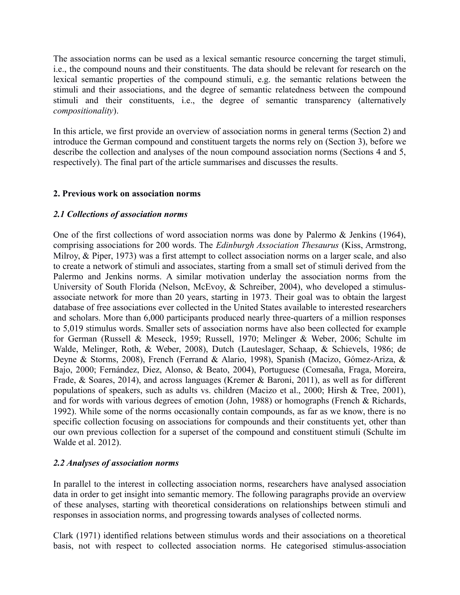The association norms can be used as a lexical semantic resource concerning the target stimuli, i.e., the compound nouns and their constituents. The data should be relevant for research on the lexical semantic properties of the compound stimuli, e.g. the semantic relations between the stimuli and their associations, and the degree of semantic relatedness between the compound stimuli and their constituents, i.e., the degree of semantic transparency (alternatively *compositionality*).

In this article, we first provide an overview of association norms in general terms (Section 2) and introduce the German compound and constituent targets the norms rely on (Section 3), before we describe the collection and analyses of the noun compound association norms (Sections 4 and 5, respectively). The final part of the article summarises and discusses the results.

# **2. Previous work on association norms**

# *2.1 Collections of association norms*

One of the first collections of word association norms was done by Palermo & Jenkins (1964), comprising associations for 200 words. The *Edinburgh Association Thesaurus* (Kiss, Armstrong, Milroy, & Piper, 1973) was a first attempt to collect association norms on a larger scale, and also to create a network of stimuli and associates, starting from a small set of stimuli derived from the Palermo and Jenkins norms. A similar motivation underlay the association norms from the University of South Florida (Nelson, McEvoy, & Schreiber, 2004), who developed a stimulusassociate network for more than 20 years, starting in 1973. Their goal was to obtain the largest database of free associations ever collected in the United States available to interested researchers and scholars. More than 6,000 participants produced nearly three-quarters of a million responses to 5,019 stimulus words. Smaller sets of association norms have also been collected for example for German (Russell & Meseck, 1959; Russell, 1970; Melinger & Weber, 2006; Schulte im Walde, Melinger, Roth, & Weber, 2008), Dutch (Lauteslager, Schaap, & Schievels, 1986; de Deyne & Storms, 2008), French (Ferrand & Alario, 1998), Spanish (Macizo, Gómez-Ariza, & Bajo, 2000; Fernández, Diez, Alonso, & Beato, 2004), Portuguese (Comesaña, Fraga, Moreira, Frade, & Soares, 2014), and across languages (Kremer & Baroni, 2011), as well as for different populations of speakers, such as adults vs. children (Macizo et al., 2000; Hirsh & Tree, 2001), and for words with various degrees of emotion (John, 1988) or homographs (French & Richards, 1992). While some of the norms occasionally contain compounds, as far as we know, there is no specific collection focusing on associations for compounds and their constituents yet, other than our own previous collection for a superset of the compound and constituent stimuli (Schulte im Walde et al. 2012).

# *2.2 Analyses of association norms*

In parallel to the interest in collecting association norms, researchers have analysed association data in order to get insight into semantic memory. The following paragraphs provide an overview of these analyses, starting with theoretical considerations on relationships between stimuli and responses in association norms, and progressing towards analyses of collected norms.

Clark (1971) identified relations between stimulus words and their associations on a theoretical basis, not with respect to collected association norms. He categorised stimulus-association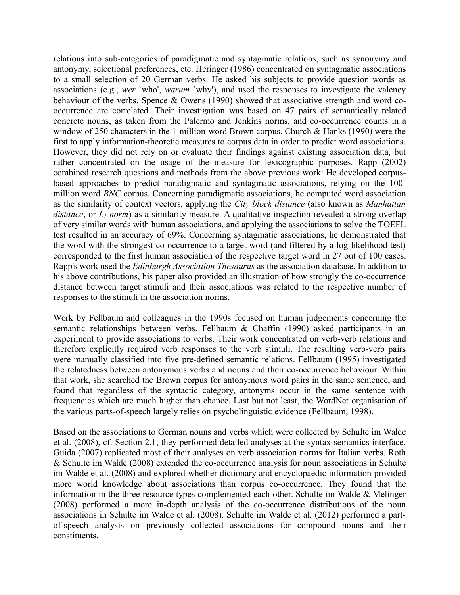relations into sub-categories of paradigmatic and syntagmatic relations, such as synonymy and antonymy, selectional preferences, etc. Heringer (1986) concentrated on syntagmatic associations to a small selection of 20 German verbs. He asked his subjects to provide question words as associations (e.g., *wer* `who', *warum* `why'), and used the responses to investigate the valency behaviour of the verbs. Spence & Owens (1990) showed that associative strength and word cooccurrence are correlated. Their investigation was based on 47 pairs of semantically related concrete nouns, as taken from the Palermo and Jenkins norms, and co-occurrence counts in a window of 250 characters in the 1-million-word Brown corpus. Church & Hanks (1990) were the first to apply information-theoretic measures to corpus data in order to predict word associations. However, they did not rely on or evaluate their findings against existing association data, but rather concentrated on the usage of the measure for lexicographic purposes. Rapp (2002) combined research questions and methods from the above previous work: He developed corpusbased approaches to predict paradigmatic and syntagmatic associations, relying on the 100 million word *BNC* corpus. Concerning paradigmatic associations, he computed word association as the similarity of context vectors, applying the *City block distance* (also known as *Manhattan distance*, or *L1 norm*) as a similarity measure. A qualitative inspection revealed a strong overlap of very similar words with human associations, and applying the associations to solve the TOEFL test resulted in an accuracy of 69%. Concerning syntagmatic associations, he demonstrated that the word with the strongest co-occurrence to a target word (and filtered by a log-likelihood test) corresponded to the first human association of the respective target word in 27 out of 100 cases. Rapp's work used the *Edinburgh Association Thesaurus* as the association database. In addition to his above contributions, his paper also provided an illustration of how strongly the co-occurrence distance between target stimuli and their associations was related to the respective number of responses to the stimuli in the association norms.

Work by Fellbaum and colleagues in the 1990s focused on human judgements concerning the semantic relationships between verbs. Fellbaum & Chaffin (1990) asked participants in an experiment to provide associations to verbs. Their work concentrated on verb-verb relations and therefore explicitly required verb responses to the verb stimuli. The resulting verb-verb pairs were manually classified into five pre-defined semantic relations. Fellbaum (1995) investigated the relatedness between antonymous verbs and nouns and their co-occurrence behaviour. Within that work, she searched the Brown corpus for antonymous word pairs in the same sentence, and found that regardless of the syntactic category, antonyms occur in the same sentence with frequencies which are much higher than chance. Last but not least, the WordNet organisation of the various parts-of-speech largely relies on psycholinguistic evidence (Fellbaum, 1998).

Based on the associations to German nouns and verbs which were collected by Schulte im Walde et al. (2008), cf. Section 2.1, they performed detailed analyses at the syntax-semantics interface. Guida (2007) replicated most of their analyses on verb association norms for Italian verbs. Roth & Schulte im Walde (2008) extended the co-occurrence analysis for noun associations in Schulte im Walde et al. (2008) and explored whether dictionary and encyclopaedic information provided more world knowledge about associations than corpus co-occurrence. They found that the information in the three resource types complemented each other. Schulte im Walde & Melinger (2008) performed a more in-depth analysis of the co-occurrence distributions of the noun associations in Schulte im Walde et al. (2008). Schulte im Walde et al. (2012) performed a partof-speech analysis on previously collected associations for compound nouns and their constituents.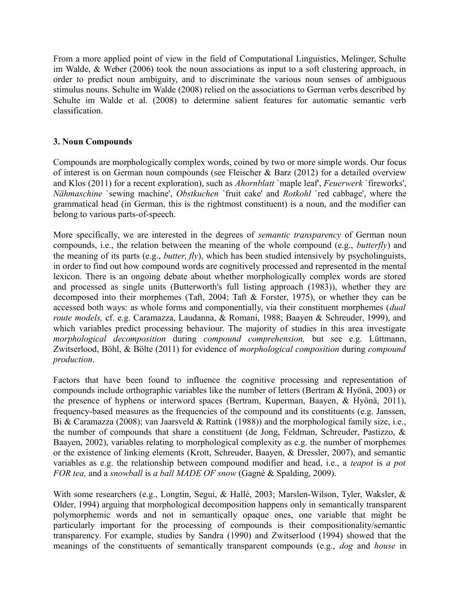From a more applied point of view in the field of Computational Linguistics, Melinger, Schulte im Walde, & Weber (2006) took the noun associations as input to a soft clustering approach, in order to predict noun ambiguity, and to discriminate the various noun senses of ambiguous stimulus nouns. Schulte im Walde (2008) relied on the associations to German verbs described by Schulte im Walde et al. (2008) to determine salient features for automatic semantic verb classification.

# **3. Noun Compounds**

Compounds are morphologically complex words, coined by two or more simple words. Our focus of interest is on German noun compounds (see Fleischer & Barz (2012) for a detailed overview and Klos (2011) for a recent exploration), such as *Ahornblatt* `maple leaf', *Feuerwerk* `fireworks', *Nähmaschine* `sewing machine', *Obstkuchen* `fruit cake' and *Rotkohl* `red cabbage', where the grammatical head (in German, this is the rightmost constituent) is a noun, and the modifier can belong to various parts-of-speech.

More specifically, we are interested in the degrees of *semantic transparency* of German noun compounds, i.e., the relation between the meaning of the whole compound (e.g., *butterfly*) and the meaning of its parts (e.g., *butter, fly*), which has been studied intensively by psycholinguists, in order to find out how compound words are cognitively processed and represented in the mental lexicon. There is an ongoing debate about whether morphologically complex words are stored and processed as single units (Butterworth's full listing approach (1983)), whether they are decomposed into their morphemes (Taft, 2004; Taft & Forster, 1975), or whether they can be accessed both ways: as whole forms and componentially, via their constituent morphemes (*dual route models,* cf. e.g. Caramazza, Laudanna, & Romani, 1988; Baayen & Schreuder, 1999), and which variables predict processing behaviour. The majority of studies in this area investigate *morphological decomposition* during *compound comprehension,* but see e.g. Lüttmann, Zwitserlood, Böhl, & Bölte (2011) for evidence of *morphological composition* during *compound production*.

Factors that have been found to influence the cognitive processing and representation of compounds include orthographic variables like the number of letters (Bertram & Hyönä, 2003) or the presence of hyphens or interword spaces (Bertram, Kuperman, Baayen, & Hyönä, 2011), frequency-based measures as the frequencies of the compound and its constituents (e.g. Janssen, Bi & Caramazza (2008); van Jaarsveld & Rattink (1988)) and the morphological family size, i.e., the number of compounds that share a constituent (de Jong, Feldman, Schreuder, Pastizzo, & Baayen, 2002), variables relating to morphological complexity as e.g. the number of morphemes or the existence of linking elements (Krott, Schreuder, Baayen, & Dressler, 2007), and semantic variables as e.g. the relationship between compound modifier and head, i.e., a *teapot* is *a pot FOR tea,* and a *snowball* is *a ball MADE OF snow* (Gagné & Spalding, 2009).

With some researchers (e.g., Longtin, Segui, & Hallé, 2003; Marslen-Wilson, Tyler, Waksler, & Older, 1994) arguing that morphological decomposition happens only in semantically transparent polymorphemic words and not in semantically opaque ones, one variable that might be particularly important for the processing of compounds is their compositionality/semantic transparency. For example, studies by Sandra (1990) and Zwitserlood (1994) showed that the meanings of the constituents of semantically transparent compounds (e.g., *dog* and *house* in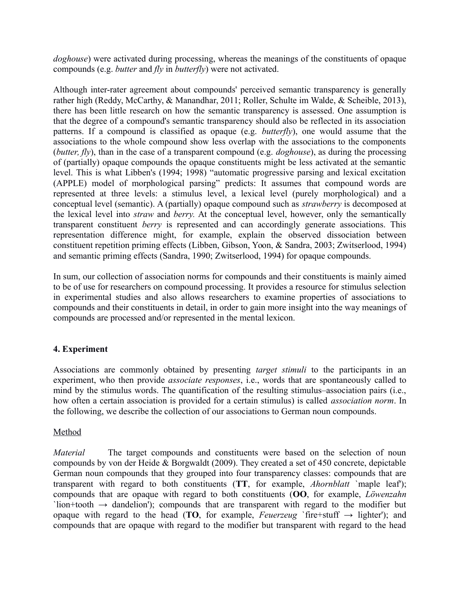*doghouse*) were activated during processing, whereas the meanings of the constituents of opaque compounds (e.g. *butter* and *fly* in *butterfly*) were not activated.

Although inter-rater agreement about compounds' perceived semantic transparency is generally rather high (Reddy, McCarthy, & Manandhar, 2011; Roller, Schulte im Walde, & Scheible, 2013), there has been little research on how the semantic transparency is assessed. One assumption is that the degree of a compound's semantic transparency should also be reflected in its association patterns. If a compound is classified as opaque (e.g. *butterfly*), one would assume that the associations to the whole compound show less overlap with the associations to the components (*butter, fly*), than in the case of a transparent compound (e.g. *doghouse*), as during the processing of (partially) opaque compounds the opaque constituents might be less activated at the semantic level. This is what Libben's (1994; 1998) "automatic progressive parsing and lexical excitation (APPLE) model of morphological parsing" predicts: It assumes that compound words are represented at three levels: a stimulus level, a lexical level (purely morphological) and a conceptual level (semantic). A (partially) opaque compound such as *strawberry* is decomposed at the lexical level into *straw* and *berry.* At the conceptual level, however, only the semantically transparent constituent *berry* is represented and can accordingly generate associations. This representation difference might, for example, explain the observed dissociation between constituent repetition priming effects (Libben, Gibson, Yoon, & Sandra, 2003; Zwitserlood, 1994) and semantic priming effects (Sandra, 1990; Zwitserlood, 1994) for opaque compounds.

In sum, our collection of association norms for compounds and their constituents is mainly aimed to be of use for researchers on compound processing. It provides a resource for stimulus selection in experimental studies and also allows researchers to examine properties of associations to compounds and their constituents in detail, in order to gain more insight into the way meanings of compounds are processed and/or represented in the mental lexicon.

# **4. Experiment**

Associations are commonly obtained by presenting *target stimuli* to the participants in an experiment, who then provide *associate responses*, i.e., words that are spontaneously called to mind by the stimulus words. The quantification of the resulting stimulus–association pairs (i.e., how often a certain association is provided for a certain stimulus) is called *association norm*. In the following, we describe the collection of our associations to German noun compounds.

# Method

*Material* The target compounds and constituents were based on the selection of noun compounds by von der Heide & Borgwaldt (2009). They created a set of 450 concrete, depictable German noun compounds that they grouped into four transparency classes: compounds that are transparent with regard to both constituents (**TT**, for example, *Ahornblatt* `maple leaf'); compounds that are opaque with regard to both constituents (**OO**, for example, *Löwenzahn* `lion+tooth  $\rightarrow$  dandelion'); compounds that are transparent with regard to the modifier but opaque with regard to the head (**TO**, for example, *Feuerzeug* `fire+stuff  $\rightarrow$  lighter'); and compounds that are opaque with regard to the modifier but transparent with regard to the head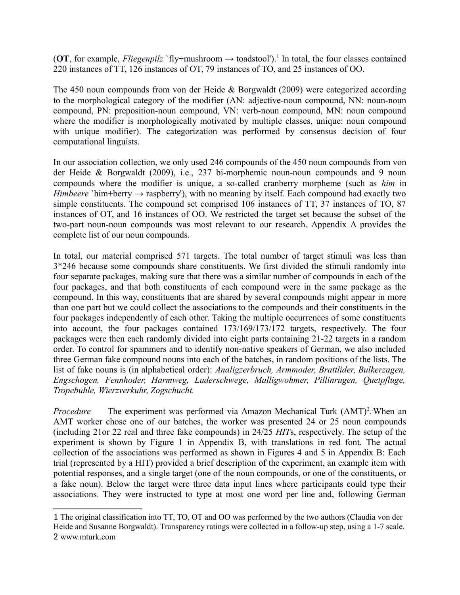(OT, for example, *Fliegenpilz* `fly+mushroom → toadstool').<sup>[1](#page-6-0)</sup> In total, the four classes contained 220 instances of TT, 126 instances of OT, 79 instances of TO, and 25 instances of OO.

The 450 noun compounds from von der Heide & Borgwaldt (2009) were categorized according to the morphological category of the modifier (AN: adjective-noun compound, NN: noun-noun compound, PN: preposition-noun compound, VN: verb-noun compound, MN: noun compound where the modifier is morphologically motivated by multiple classes, unique: noun compound with unique modifier). The categorization was performed by consensus decision of four computational linguists.

In our association collection, we only used 246 compounds of the 450 noun compounds from von der Heide & Borgwaldt (2009), i.e., 237 bi-morphemic noun-noun compounds and 9 noun compounds where the modifier is unique, a so-called cranberry morpheme (such as *him* in *Himbeere* `him+berry  $\rightarrow$  raspberry'), with no meaning by itself. Each compound had exactly two simple constituents. The compound set comprised 106 instances of TT, 37 instances of TO, 87 instances of OT, and 16 instances of OO. We restricted the target set because the subset of the two-part noun-noun compounds was most relevant to our research. Appendix A provides the complete list of our noun compounds.

In total, our material comprised 571 targets. The total number of target stimuli was less than 3\*246 because some compounds share constituents. We first divided the stimuli randomly into four separate packages, making sure that there was a similar number of compounds in each of the four packages, and that both constituents of each compound were in the same package as the compound. In this way, constituents that are shared by several compounds might appear in more than one part but we could collect the associations to the compounds and their constituents in the four packages independently of each other. Taking the multiple occurrences of some constituents into account, the four packages contained 173/169/173/172 targets, respectively. The four packages were then each randomly divided into eight parts containing 21-22 targets in a random order. To control for spammers and to identify non-native speakers of German, we also included three German fake compound nouns into each of the batches, in random positions of the lists. The list of fake nouns is (in alphabetical order): *Analigzerbruch, Armmoder, Brattlider, Bulkerzagen, Engschogen, Fennhoder, Harmweg, Luderschwege, Malligwohmer, Pillinrugen, Quetpfluge, Tropebuhle, Wierzverkuhr, Zogschucht.*

Procedure The experiment was performed via Amazon Mechanical Turk (AMT)<sup>[2](#page-6-1)</sup>. When an AMT worker chose one of our batches, the worker was presented 24 or 25 noun compounds (including 21or 22 real and three fake compounds) in 24/25 *HIT*s, respectively. The setup of the experiment is shown by Figure 1 in Appendix B, with translations in red font. The actual collection of the associations was performed as shown in Figures 4 and 5 in Appendix B: Each trial (represented by a HIT) provided a brief description of the experiment, an example item with potential responses, and a single target (one of the noun compounds, or one of the constituents, or a fake noun). Below the target were three data input lines where participants could type their associations. They were instructed to type at most one word per line and, following German

<span id="page-6-1"></span><span id="page-6-0"></span><sup>1</sup> The original classification into TT, TO, OT and OO was performed by the two authors (Claudia von der Heide and Susanne Borgwaldt). Transparency ratings were collected in a follow-up step, using a 1-7 scale. 2 www.mturk.com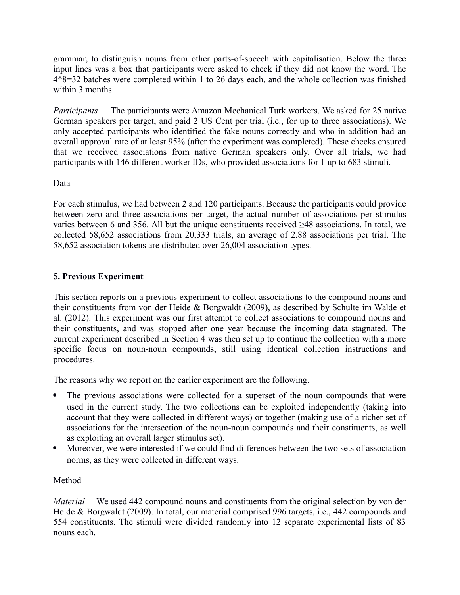grammar, to distinguish nouns from other parts-of-speech with capitalisation. Below the three input lines was a box that participants were asked to check if they did not know the word. The 4\*8=32 batches were completed within 1 to 26 days each, and the whole collection was finished within 3 months.

*Participants* The participants were Amazon Mechanical Turk workers. We asked for 25 native German speakers per target, and paid 2 US Cent per trial (i.e., for up to three associations). We only accepted participants who identified the fake nouns correctly and who in addition had an overall approval rate of at least 95% (after the experiment was completed). These checks ensured that we received associations from native German speakers only. Over all trials, we had participants with 146 different worker IDs, who provided associations for 1 up to 683 stimuli.

# Data

For each stimulus, we had between 2 and 120 participants. Because the participants could provide between zero and three associations per target, the actual number of associations per stimulus varies between 6 and 356. All but the unique constituents received ≥48 associations. In total, we collected 58,652 associations from 20,333 trials, an average of 2.88 associations per trial. The 58,652 association tokens are distributed over 26,004 association types.

# **5. Previous Experiment**

This section reports on a previous experiment to collect associations to the compound nouns and their constituents from von der Heide & Borgwaldt (2009), as described by Schulte im Walde et al. (2012). This experiment was our first attempt to collect associations to compound nouns and their constituents, and was stopped after one year because the incoming data stagnated. The current experiment described in Section 4 was then set up to continue the collection with a more specific focus on noun-noun compounds, still using identical collection instructions and procedures.

The reasons why we report on the earlier experiment are the following.

- The previous associations were collected for a superset of the noun compounds that were used in the current study. The two collections can be exploited independently (taking into account that they were collected in different ways) or together (making use of a richer set of associations for the intersection of the noun-noun compounds and their constituents, as well as exploiting an overall larger stimulus set).
- Moreover, we were interested if we could find differences between the two sets of association norms, as they were collected in different ways.

# Method

*Material* We used 442 compound nouns and constituents from the original selection by von der Heide & Borgwaldt (2009). In total, our material comprised 996 targets, i.e., 442 compounds and 554 constituents. The stimuli were divided randomly into 12 separate experimental lists of 83 nouns each.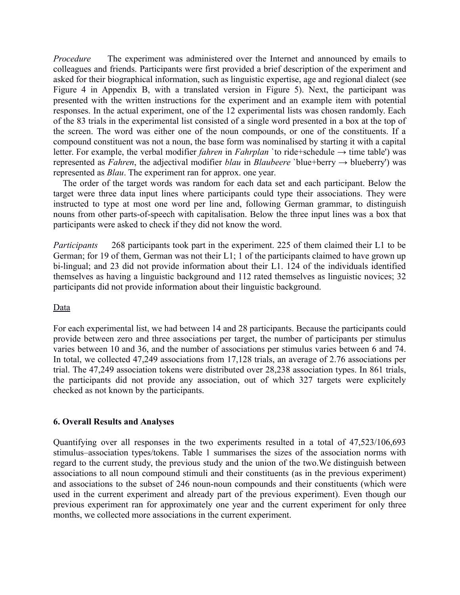*Procedure* The experiment was administered over the Internet and announced by emails to colleagues and friends. Participants were first provided a brief description of the experiment and asked for their biographical information, such as linguistic expertise, age and regional dialect (see Figure 4 in Appendix B, with a translated version in Figure 5). Next, the participant was presented with the written instructions for the experiment and an example item with potential responses. In the actual experiment, one of the 12 experimental lists was chosen randomly. Each of the 83 trials in the experimental list consisted of a single word presented in a box at the top of the screen. The word was either one of the noun compounds, or one of the constituents. If a compound constituent was not a noun, the base form was nominalised by starting it with a capital letter. For example, the verbal modifier *fahren* in *Fahrplan* `to ride+schedule → time table') was represented as *Fahren*, the adjectival modifier *blau* in *Blaubeere* `blue+berry → blueberry') was represented as *Blau*. The experiment ran for approx. one year.

 The order of the target words was random for each data set and each participant. Below the target were three data input lines where participants could type their associations. They were instructed to type at most one word per line and, following German grammar, to distinguish nouns from other parts-of-speech with capitalisation. Below the three input lines was a box that participants were asked to check if they did not know the word.

*Participants* 268 participants took part in the experiment. 225 of them claimed their L1 to be German; for 19 of them, German was not their L1; 1 of the participants claimed to have grown up bi-lingual; and 23 did not provide information about their L1. 124 of the individuals identified themselves as having a linguistic background and 112 rated themselves as linguistic novices; 32 participants did not provide information about their linguistic background.

#### Data

For each experimental list, we had between 14 and 28 participants. Because the participants could provide between zero and three associations per target, the number of participants per stimulus varies between 10 and 36, and the number of associations per stimulus varies between 6 and 74. In total, we collected 47,249 associations from 17,128 trials, an average of 2.76 associations per trial. The 47,249 association tokens were distributed over 28,238 association types. In 861 trials, the participants did not provide any association, out of which 327 targets were explicitely checked as not known by the participants.

#### **6. Overall Results and Analyses**

Quantifying over all responses in the two experiments resulted in a total of 47,523/106,693 stimulus–association types/tokens. Table 1 summarises the sizes of the association norms with regard to the current study, the previous study and the union of the two.We distinguish between associations to all noun compound stimuli and their constituents (as in the previous experiment) and associations to the subset of 246 noun-noun compounds and their constituents (which were used in the current experiment and already part of the previous experiment). Even though our previous experiment ran for approximately one year and the current experiment for only three months, we collected more associations in the current experiment.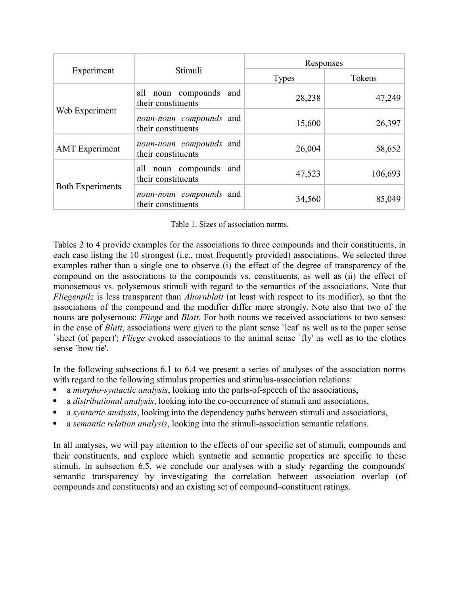|                         |                                               | Responses    |         |  |  |
|-------------------------|-----------------------------------------------|--------------|---------|--|--|
| Experiment              | Stimuli                                       | <b>Types</b> | Tokens  |  |  |
|                         | all noun compounds and<br>their constituents  | 28,238       | 47,249  |  |  |
| Web Experiment          | noun-noun compounds and<br>their constituents | 15,600       | 26,397  |  |  |
| <b>AMT</b> Experiment   | noun-noun compounds and<br>their constituents | 26,004       | 58,652  |  |  |
|                         | all noun compounds and<br>their constituents  | 47,523       | 106,693 |  |  |
| <b>Both Experiments</b> | noun-noun compounds and<br>their constituents | 34,560       | 85,049  |  |  |

Table 1. Sizes of association norms.

Tables 2 to 4 provide examples for the associations to three compounds and their constituents, in each case listing the 10 strongest (i.e., most frequently provided) associations. We selected three examples rather than a single one to observe (i) the effect of the degree of transparency of the compound on the associations to the compounds vs. constituents, as well as (ii) the effect of monosemous vs. polysemous stimuli with regard to the semantics of the associations. Note that *Fliegenpilz* is less transparent than *Ahornblatt* (at least with respect to its modifier), so that the associations of the compound and the modifier differ more strongly. Note also that two of the nouns are polysemous: *Fliege* and *Blatt*. For both nouns we received associations to two senses: in the case of *Blatt*, associations were given to the plant sense `leaf' as well as to the paper sense `sheet (of paper)'; *Fliege* evoked associations to the animal sense `fly' as well as to the clothes sense `bow tie'.

In the following subsections 6.1 to 6.4 we present a series of analyses of the association norms with regard to the following stimulus properties and stimulus-association relations:

- a *morpho-syntactic analysis*, looking into the parts-of-speech of the associations,
- a *distributional analysis*, looking into the co-occurrence of stimuli and associations,
- a *syntactic analysis*, looking into the dependency paths between stimuli and associations,
- a *semantic relation analysis*, looking into the stimuli-association semantic relations.

In all analyses, we will pay attention to the effects of our specific set of stimuli, compounds and their constituents, and explore which syntactic and semantic properties are specific to these stimuli. In subsection 6.5, we conclude our analyses with a study regarding the compounds' semantic transparency by investigating the correlation between association overlap (of compounds and constituents) and an existing set of compound–constituent ratings.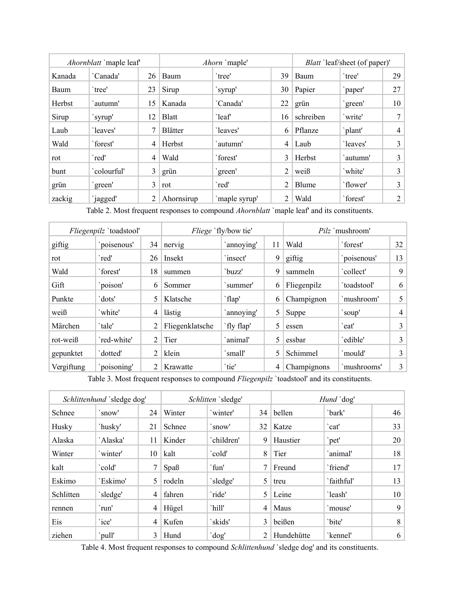|             | Ahornblatt `maple leaf' |                | Ahorn `maple'  |               | <i>Blatt</i> 'leaf/sheet (of paper)' |              |          |                |
|-------------|-------------------------|----------------|----------------|---------------|--------------------------------------|--------------|----------|----------------|
| Kanada      | 'Canada'                | 26             | Baum           | `tree'        | 39                                   | Baum         | `tree'   | 29             |
| <b>Baum</b> | `tree'                  | 23             | Sirup          | `syrup'       | 30                                   | Papier       | `paper'  | 27             |
| Herbst      | `autumn'                | 15             | Kanada         | 'Canada'      | 22                                   | grün         | 'green'  | 10             |
| Sirup       | `syrup'                 | 12             | <b>Blatt</b>   | `leaf         | 16                                   | schreiben    | 'write'  | 7              |
| Laub        | 'leaves'                |                | <b>Blätter</b> | 'leaves'      | 6                                    | Pflanze      | `plant'  | 4              |
| Wald        | `forest'                | 4              | Herbst         | `autumn'      | 4                                    | Laub         | 'leaves' | 3              |
| rot         | `red'                   | 4              | Wald           | `forest'      | 3                                    | Herbst       | `autumn' | 3              |
| bunt        | `colourful'             | $\overline{3}$ | grün           | `green'       | 2                                    | weiß         | `white'  | 3              |
| grün        | 'green'                 | 3              | rot            | `red'         | $\overline{2}$                       | <b>Blume</b> | `flower' | 3              |
| zackig      | `jagged'                | 2              | Ahornsirup     | 'maple syrup' | 2                                    | Wald         | `forest' | $\overline{2}$ |

Table 2. Most frequent responses to compound *Ahornblatt* `maple leaf' and its constituents.

| Fliegenpilz 'toadstool' |             | <i>Fliege</i> `fly/bow tie' |                 |            | <i>Pilz</i> `mushroom' |             |             |                |
|-------------------------|-------------|-----------------------------|-----------------|------------|------------------------|-------------|-------------|----------------|
| giftig                  | 'poisenous' | 34                          | nervig          | 'annoying' | 11                     | Wald        | `forest'    | 32             |
| rot                     | `red'       | 26                          | Insekt          | `insect'   | 9                      | giftig      | poisenous'  | 13             |
| Wald                    | `forest'    | 18                          | summen          | `buzz'     | 9                      | sammeln     | `collect'   | 9              |
| Gift                    | `poison'    | 6                           | Sommer          | summer'    | 6                      | Fliegenpilz | `toadstool' | 6              |
| Punkte                  | dots'       | 5                           | Klatsche        | flap'      | 6                      | Champignon  | `mushroom'  | 5              |
| weiß                    | `white'     | 4                           | lästig          | 'annoying' | 5                      | Suppe       | `soup'      | 4              |
| Märchen                 | `tale'      |                             | Fliegenklatsche | `fly flap' | 5                      | essen       | `eat'       | 3              |
| rot-weiß                | `red-white' | 2                           | Tier            | `animal'   | 5                      | essbar      | 'edible'    | $\overline{3}$ |
| gepunktet               | dotted'     | 2                           | klein           | `small'    | 5                      | Schimmel    | `mould'     | 3              |
| Vergiftung              | poisoning'  | 2                           | Krawatte        | `tie'      | 4                      | Champignons | `mushrooms' | 3 <sup>2</sup> |

Table 3. Most frequent responses to compound *Fliegenpilz* `toadstool' and its constituents.

|           | Schlittenhund 'sledge dog' |    |        | Schlitten 'sledge' |    |            | Hund `dog' |                 |
|-----------|----------------------------|----|--------|--------------------|----|------------|------------|-----------------|
| Schnee    | `snow'                     | 24 | Winter | 'winter'           | 34 | bellen     | `bark'     | 46              |
| Husky     | `husky'                    | 21 | Schnee | `snow'             | 32 | Katze      | `cat'      | 33              |
| Alaska    | `Alaska'                   | 11 | Kinder | `children'         | 9  | Haustier   | `pet'      | 20              |
| Winter    | 'winter'                   | 10 | kalt   | `cold'             | 8  | Tier       | `animal'   | 18              |
| kalt      | `cold'                     | 7  | SpaB   | `fun'              |    | Freund     | `friend'   | 17              |
| Eskimo    | 'Eskimo'                   | 5  | rodeln | 'sledge'           | 5  | treu       | `faithful' | 13              |
| Schlitten | 'sledge'                   | 4  | fahren | `ride'             | 5  | Leine      | 'leash'    | 10 <sup>1</sup> |
| rennen    | `run'                      | 4  | Hügel  | `hill'             | 4  | Maus       | `mouse'    | 9               |
| Eis       | `ice'                      | 4  | Kufen  | `skids'            | 3  | beißen     | 'bite'     | 8               |
| ziehen    | `pull'                     | 3  | Hund   | 'dog'              | 2  | Hundehütte | `kennel'   | 6               |

Table 4. Most frequent responses to compound *Schlittenhund* `sledge dog' and its constituents.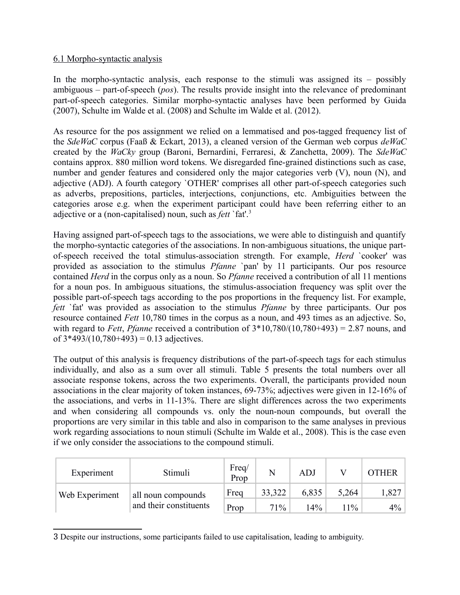#### 6.1 Morpho-syntactic analysis

In the morpho-syntactic analysis, each response to the stimuli was assigned its – possibly ambiguous – part-of-speech (*pos*). The results provide insight into the relevance of predominant part-of-speech categories. Similar morpho-syntactic analyses have been performed by Guida (2007), Schulte im Walde et al. (2008) and Schulte im Walde et al. (2012).

As resource for the pos assignment we relied on a lemmatised and pos-tagged frequency list of the *SdeWaC* corpus (Faaß & Eckart, 2013), a cleaned version of the German web corpus *deWaC* created by the *WaCky* group (Baroni, Bernardini, Ferraresi, & Zanchetta, 2009). The *SdeWaC* contains approx. 880 million word tokens. We disregarded fine-grained distinctions such as case, number and gender features and considered only the major categories verb  $(V)$ , noun  $(N)$ , and adjective (ADJ). A fourth category `OTHER' comprises all other part-of-speech categories such as adverbs, prepositions, particles, interjections, conjunctions, etc. Ambiguities between the categories arose e.g. when the experiment participant could have been referring either to an adjective or a (non-capitalised) noun, such as *fett* `fat'.[3](#page-11-0)

Having assigned part-of-speech tags to the associations, we were able to distinguish and quantify the morpho-syntactic categories of the associations. In non-ambiguous situations, the unique partof-speech received the total stimulus-association strength. For example, *Herd* `cooker' was provided as association to the stimulus *Pfanne* `pan' by 11 participants. Our pos resource contained *Herd* in the corpus only as a noun. So *Pfanne* received a contribution of all 11 mentions for a noun pos. In ambiguous situations, the stimulus-association frequency was split over the possible part-of-speech tags according to the pos proportions in the frequency list. For example, *fett* `fat' was provided as association to the stimulus *Pfanne* by three participants. Our pos resource contained *Fett* 10,780 times in the corpus as a noun, and 493 times as an adjective. So, with regard to *Fett*, *Pfanne* received a contribution of  $3*10,780/(10,780+493) = 2.87$  nouns, and of  $3*493/(10,780+493) = 0.13$  adjectives.

The output of this analysis is frequency distributions of the part-of-speech tags for each stimulus individually, and also as a sum over all stimuli. Table 5 presents the total numbers over all associate response tokens, across the two experiments. Overall, the participants provided noun associations in the clear majority of token instances, 69-73%; adjectives were given in 12-16% of the associations, and verbs in 11-13%. There are slight differences across the two experiments and when considering all compounds vs. only the noun-noun compounds, but overall the proportions are very similar in this table and also in comparison to the same analyses in previous work regarding associations to noun stimuli (Schulte im Walde et al., 2008). This is the case even if we only consider the associations to the compound stimuli.

| Experiment     | Stimuli                | Freq/<br>Prop | N      | <b>ADJ</b> |       | OTHER |
|----------------|------------------------|---------------|--------|------------|-------|-------|
| Web Experiment | all noun compounds     | Freq          | 33,322 | 6,835      | 5,264 | 1,827 |
|                | and their constituents | Prop          | 71%    | $14\%$     | $1\%$ | 4%    |

<span id="page-11-0"></span><sup>3</sup> Despite our instructions, some participants failed to use capitalisation, leading to ambiguity.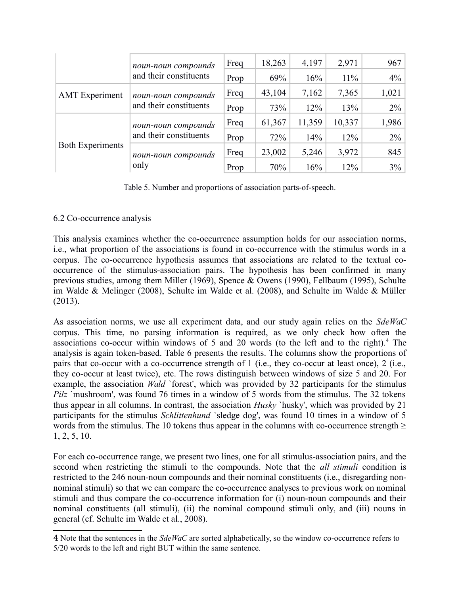|                         | noun-noun compounds                           | Freq | 18,263 | 4,197  | 2,971  | 967   |
|-------------------------|-----------------------------------------------|------|--------|--------|--------|-------|
|                         | and their constituents                        | Prop | 69%    | 16%    | $11\%$ | 4%    |
| <b>AMT</b> Experiment   | noun-noun compounds<br>and their constituents | Freq | 43,104 | 7,162  | 7,365  | 1,021 |
|                         |                                               | Prop | 73%    | 12%    | 13%    | 2%    |
|                         | noun-noun compounds<br>and their constituents | Freq | 61,367 | 11,359 | 10,337 | 1,986 |
| <b>Both Experiments</b> |                                               | Prop | 72%    | 14%    | 12%    | $2\%$ |
|                         | noun-noun compounds                           | Freq | 23,002 | 5,246  | 3,972  | 845   |
|                         | only                                          | Prop | 70%    | 16%    | 12%    | 3%    |

Table 5. Number and proportions of association parts-of-speech.

# 6.2 Co-occurrence analysis

This analysis examines whether the co-occurrence assumption holds for our association norms, i.e., what proportion of the associations is found in co-occurrence with the stimulus words in a corpus. The co-occurrence hypothesis assumes that associations are related to the textual cooccurrence of the stimulus-association pairs. The hypothesis has been confirmed in many previous studies, among them Miller (1969), Spence & Owens (1990), Fellbaum (1995), Schulte im Walde & Melinger (2008), Schulte im Walde et al. (2008), and Schulte im Walde & Müller (2013).

As association norms, we use all experiment data, and our study again relies on the *SdeWaC* corpus. This time, no parsing information is required, as we only check how often the associations co-occur within windows of 5 and 20 words (to the left and to the right). $4$  The analysis is again token-based. Table 6 presents the results. The columns show the proportions of pairs that co-occur with a co-occurrence strength of 1 (i.e., they co-occur at least once), 2 (i.e., they co-occur at least twice), etc. The rows distinguish between windows of size 5 and 20. For example, the association *Wald* `forest', which was provided by 32 participants for the stimulus *Pilz* `mushroom', was found 76 times in a window of 5 words from the stimulus. The 32 tokens thus appear in all columns. In contrast, the association *Husky* `husky', which was provided by 21 participants for the stimulus *Schlittenhund* `sledge dog', was found 10 times in a window of 5 words from the stimulus. The 10 tokens thus appear in the columns with co-occurrence strength  $\geq$ 1, 2, 5, 10.

For each co-occurrence range, we present two lines, one for all stimulus-association pairs, and the second when restricting the stimuli to the compounds. Note that the *all stimuli* condition is restricted to the 246 noun-noun compounds and their nominal constituents (i.e., disregarding nonnominal stimuli) so that we can compare the co-occurrence analyses to previous work on nominal stimuli and thus compare the co-occurrence information for (i) noun-noun compounds and their nominal constituents (all stimuli), (ii) the nominal compound stimuli only, and (iii) nouns in general (cf. Schulte im Walde et al., 2008).

<span id="page-12-0"></span><sup>4</sup> Note that the sentences in the *SdeWaC* are sorted alphabetically, so the window co-occurrence refers to 5/20 words to the left and right BUT within the same sentence.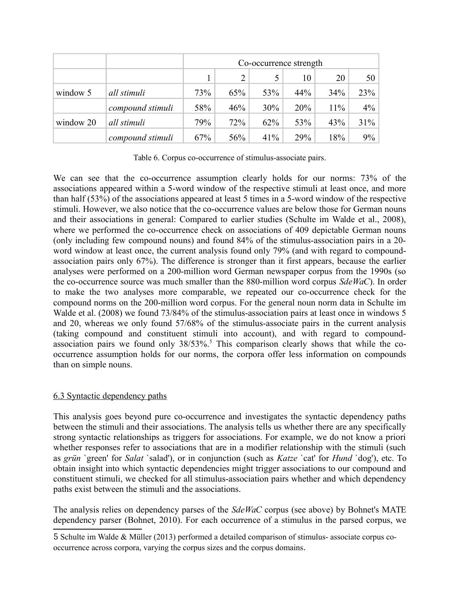|           |                  | Co-occurrence strength |     |     |     |     |                 |
|-----------|------------------|------------------------|-----|-----|-----|-----|-----------------|
|           |                  |                        |     |     | 10  | 20  | 50 <sub>1</sub> |
| window 5  | all stimuli      | 73%                    | 65% | 53% | 44% | 34% | 23%             |
|           | compound stimuli | 58%                    | 46% | 30% | 20% | 11% | $4\%$           |
| window 20 | all stimuli      | 79%                    | 72% | 62% | 53% | 43% | $31\%$          |
|           | compound stimuli | 67%                    | 56% | 41% | 29% | 18% | $9\%$           |

Table 6. Corpus co-occurrence of stimulus-associate pairs.

We can see that the co-occurrence assumption clearly holds for our norms: 73% of the associations appeared within a 5-word window of the respective stimuli at least once, and more than half (53%) of the associations appeared at least 5 times in a 5-word window of the respective stimuli. However, we also notice that the co-occurrence values are below those for German nouns and their associations in general: Compared to earlier studies (Schulte im Walde et al., 2008), where we performed the co-occurrence check on associations of 409 depictable German nouns (only including few compound nouns) and found 84% of the stimulus-association pairs in a 20 word window at least once, the current analysis found only 79% (and with regard to compoundassociation pairs only 67%). The difference is stronger than it first appears, because the earlier analyses were performed on a 200-million word German newspaper corpus from the 1990s (so the co-occurrence source was much smaller than the 880-million word corpus *SdeWaC*). In order to make the two analyses more comparable, we repeated our co-occurrence check for the compound norms on the 200-million word corpus. For the general noun norm data in Schulte im Walde et al. (2008) we found 73/84% of the stimulus-association pairs at least once in windows 5 and 20, whereas we only found 57/68% of the stimulus-associate pairs in the current analysis (taking compound and constituent stimuli into account), and with regard to compound-association pairs we found only 38/[5](#page-13-0)3%.<sup>5</sup> This comparison clearly shows that while the cooccurrence assumption holds for our norms, the corpora offer less information on compounds than on simple nouns.

#### 6.3 Syntactic dependency paths

This analysis goes beyond pure co-occurrence and investigates the syntactic dependency paths between the stimuli and their associations. The analysis tells us whether there are any specifically strong syntactic relationships as triggers for associations. For example, we do not know a priori whether responses refer to associations that are in a modifier relationship with the stimuli (such as *grün* `green' for *Salat* `salad'), or in conjunction (such as *Katze* `cat' for *Hund* `dog'), etc. To obtain insight into which syntactic dependencies might trigger associations to our compound and constituent stimuli, we checked for all stimulus-association pairs whether and which dependency paths exist between the stimuli and the associations.

The analysis relies on dependency parses of the *SdeWaC* corpus (see above) by Bohnet's MATE dependency parser (Bohnet, 2010). For each occurrence of a stimulus in the parsed corpus, we

<span id="page-13-0"></span>5 Schulte im Walde & Müller (2013) performed a detailed comparison of stimulus- associate corpus cooccurrence across corpora, varying the corpus sizes and the corpus domains.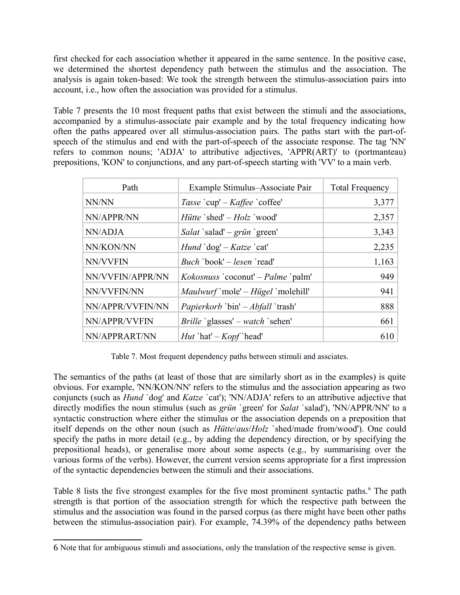first checked for each association whether it appeared in the same sentence. In the positive case, we determined the shortest dependency path between the stimulus and the association. The analysis is again token-based: We took the strength between the stimulus-association pairs into account, i.e., how often the association was provided for a stimulus.

Table 7 presents the 10 most frequent paths that exist between the stimuli and the associations, accompanied by a stimulus-associate pair example and by the total frequency indicating how often the paths appeared over all stimulus-association pairs. The paths start with the part-ofspeech of the stimulus and end with the part-of-speech of the associate response. The tag 'NN' refers to common nouns; 'ADJA' to attributive adjectives, 'APPR(ART)' to (portmanteau) prepositions, 'KON' to conjunctions, and any part-of-speech starting with 'VV' to a main verb.

| Path             | Example Stimulus-Associate Pair                           | <b>Total Frequency</b> |
|------------------|-----------------------------------------------------------|------------------------|
| NN/NN            | Tasse `cup' – Kaffee `coffee'                             | 3,377                  |
| NN/APPR/NN       | <i>Hütte</i> `shed' $-Holz$ `wood'                        | 2,357                  |
| NN/ADJA          | <i>Salat</i> `salad' – <i>grün</i> `green'                | 3,343                  |
| NN/KON/NN        | <i>Hund</i> $\deg' - K \text{atze}$ $\operatorname{cat'}$ | 2,235                  |
| NN/VVFIN         | <i>Buch</i> 'book' $-$ <i>lesen</i> 'read'                | 1,163                  |
| NN/VVFIN/APPR/NN | <i>Kokosnuss</i> `coconut' – <i>Palme</i> `palm'          | 949                    |
| NN/VVFIN/NN      | <i>Maulwurf</i> `mole' – <i>Hügel</i> `molehill'          | 941                    |
| NN/APPR/VVFIN/NN | <i>Papierkorb</i> 'bin' – <i>Abfall</i> 'trash'           | 888                    |
| NN/APPR/VVFIN    | <i>Brille</i> 'glasses' – <i>watch</i> 'sehen'            | 661                    |
| NN/APPRART/NN    | <i>Hut</i> `hat' $-Kopf$ `head'                           | 610                    |

Table 7. Most frequent dependency paths between stimuli and assciates.

The semantics of the paths (at least of those that are similarly short as in the examples) is quite obvious. For example, 'NN/KON/NN' refers to the stimulus and the association appearing as two conjuncts (such as *Hund* `dog' and *Katze* `cat'); 'NN/ADJA' refers to an attributive adjective that directly modifies the noun stimulus (such as *grün* `green' for *Salat* `salad'), 'NN/APPR/NN' to a syntactic construction where either the stimulus or the association depends on a preposition that itself depends on the other noun (such as *Hütte*/*aus*/*Holz* `shed/made from/wood'). One could specify the paths in more detail (e.g., by adding the dependency direction, or by specifying the prepositional heads), or generalise more about some aspects (e.g., by summarising over the various forms of the verbs). However, the current version seems appropriate for a first impression of the syntactic dependencies between the stimuli and their associations.

Table 8 lists the five strongest examples for the five most prominent syntactic paths.<sup>[6](#page-14-0)</sup> The path strength is that portion of the association strength for which the respective path between the stimulus and the association was found in the parsed corpus (as there might have been other paths between the stimulus-association pair). For example, 74.39% of the dependency paths between

<span id="page-14-0"></span><sup>6</sup> Note that for ambiguous stimuli and associations, only the translation of the respective sense is given.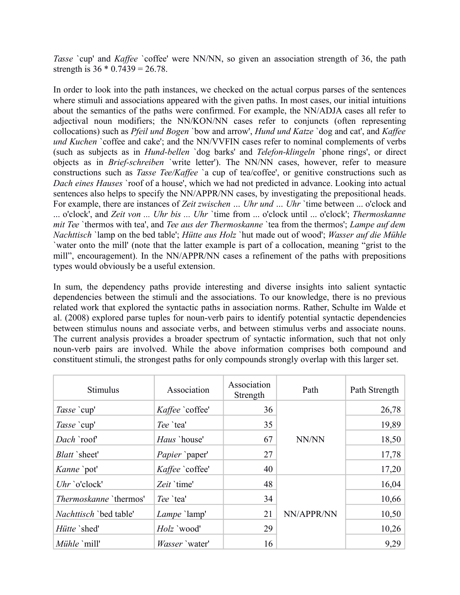*Tasse* `cup' and *Kaffee* `coffee' were NN/NN, so given an association strength of 36, the path strength is  $36 * 0.7439 = 26.78$ .

In order to look into the path instances, we checked on the actual corpus parses of the sentences where stimuli and associations appeared with the given paths. In most cases, our initial intuitions about the semantics of the paths were confirmed. For example, the NN/ADJA cases all refer to adjectival noun modifiers; the NN/KON/NN cases refer to conjuncts (often representing collocations) such as *Pfeil und Bogen* `bow and arrow', *Hund und Katze* `dog and cat', and *Kaffee und Kuchen* `coffee and cake'; and the NN/VVFIN cases refer to nominal complements of verbs (such as subjects as in *Hund-bellen* `dog barks' and *Telefon-klingeln* `phone rings', or direct objects as in *Brief-schreiben* `write letter'). The NN/NN cases, however, refer to measure constructions such as *Tasse Tee/Kaffee* `a cup of tea/coffee', or genitive constructions such as *Dach eines Hauses* `roof of a house', which we had not predicted in advance. Looking into actual sentences also helps to specify the NN/APPR/NN cases, by investigating the prepositional heads. For example, there are instances of *Zeit zwischen … Uhr und … Uhr* `time between ... o'clock and ... o'clock', and *Zeit von ... Uhr bis ... Uhr* `time from ... o'clock until ... o'clock'; *Thermoskanne mit Tee* `thermos with tea', and *Tee aus der Thermoskanne* `tea from the thermos'; *Lampe auf dem Nachttisch* `lamp on the bed table'; *Hütte aus Holz* `hut made out of wood'; *Wasser auf die Mühle* `water onto the mill' (note that the latter example is part of a collocation, meaning "grist to the mill", encouragement). In the NN/APPR/NN cases a refinement of the paths with prepositions types would obviously be a useful extension.

In sum, the dependency paths provide interesting and diverse insights into salient syntactic dependencies between the stimuli and the associations. To our knowledge, there is no previous related work that explored the syntactic paths in association norms. Rather, Schulte im Walde et al. (2008) explored parse tuples for noun-verb pairs to identify potential syntactic dependencies between stimulus nouns and associate verbs, and between stimulus verbs and associate nouns. The current analysis provides a broader spectrum of syntactic information, such that not only noun-verb pairs are involved. While the above information comprises both compound and constituent stimuli, the strongest paths for only compounds strongly overlap with this larger set.

| Stimulus                      | Association           | Association<br>Strength | Path       | Path Strength |
|-------------------------------|-----------------------|-------------------------|------------|---------------|
| Tasse `cup'                   | Kaffee `coffee'       | 36                      |            | 26,78         |
| Tasse `cup'                   | Tee `tea'             | 35                      |            | 19,89         |
| Dach `roof'                   | <i>Haus</i> `house'   | 67                      | NN/NN      | 18,50         |
| <i>Blatt</i> `sheet'          | Papier `paper'        | 27                      |            | 17,78         |
| <i>Kanne</i> `pot'            | Kaffee `coffee'       | 40                      |            | 17,20         |
| $Uhr$ 'o'clock'               | Zeit 'time'           | 48                      |            | 16,04         |
| <i>Thermoskanne</i> 'thermos' | Tee `tea'             | 34                      |            | 10,66         |
| <i>Nachttisch</i> `bed table' | Lampe 'lamp'          | 21                      | NN/APPR/NN | 10,50         |
| Hütte 'shed'                  | Holz `wood'           | 29                      |            | 10,26         |
| <i>Mühle</i> `mill'           | <i>Wasser</i> `water' | 16                      |            | 9,29          |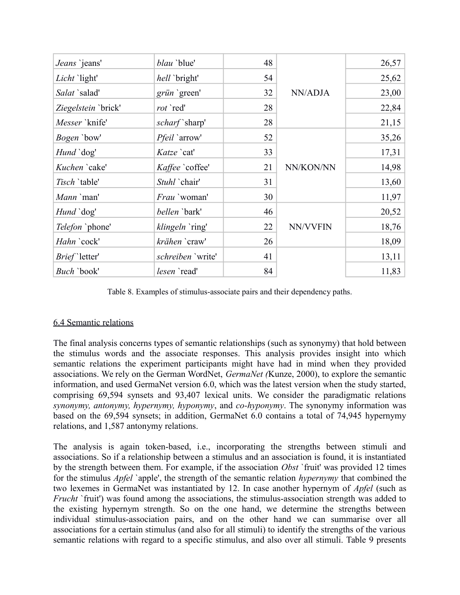| Jeans 'jeans'         | blau 'blue'          | 48 |           | 26,57 |
|-----------------------|----------------------|----|-----------|-------|
| Licht `light'         | hell `bright'        | 54 |           | 25,62 |
| Salat `salad'         | grün `green'         | 32 | NN/ADJA   | 23,00 |
| Ziegelstein `brick'   | rot `red'            | 28 |           | 22,84 |
| Messer 'knife'        | scharf `sharp'       | 28 |           | 21,15 |
| <i>Bogen</i> `bow'    | <i>Pfeil</i> `arrow' | 52 |           | 35,26 |
| <i>Hund</i> `dog'     | Katze `cat'          | 33 |           | 17,31 |
| Kuchen 'cake'         | Kaffee `coffee'      | 21 | NN/KON/NN | 14,98 |
| Tisch 'table'         | Stuhl `chair'        | 31 |           | 13,60 |
| Mann `man'            | Frau 'woman'         | 30 |           | 11,97 |
| <i>Hund</i> `dog'     | <i>bellen</i> `bark' | 46 |           | 20,52 |
| Telefon `phone'       | klingeln `ring'      | 22 | NN/VVFIN  | 18,76 |
| Hahn `cock'           | krähen `craw'        | 26 |           | 18,09 |
| <i>Brief</i> `letter' | schreiben 'write'    | 41 |           | 13,11 |
| Buch `book'           | lesen `read'         | 84 |           | 11,83 |

Table 8. Examples of stimulus-associate pairs and their dependency paths.

# 6.4 Semantic relations

The final analysis concerns types of semantic relationships (such as synonymy) that hold between the stimulus words and the associate responses. This analysis provides insight into which semantic relations the experiment participants might have had in mind when they provided associations. We rely on the German WordNet, *GermaNet (*Kunze, 2000), to explore the semantic information, and used GermaNet version 6.0, which was the latest version when the study started, comprising 69,594 synsets and 93,407 lexical units. We consider the paradigmatic relations *synonymy, antonymy, hypernymy, hyponymy*, and *co-hyponymy*. The synonymy information was based on the 69,594 synsets; in addition, GermaNet 6.0 contains a total of 74,945 hypernymy relations, and 1,587 antonymy relations.

The analysis is again token-based, i.e., incorporating the strengths between stimuli and associations. So if a relationship between a stimulus and an association is found, it is instantiated by the strength between them. For example, if the association *Obst* `fruit' was provided 12 times for the stimulus *Apfel* `apple', the strength of the semantic relation *hypernymy* that combined the two lexemes in GermaNet was instantiated by 12. In case another hypernym of *Apfel* (such as *Frucht* `fruit') was found among the associations, the stimulus-association strength was added to the existing hypernym strength. So on the one hand, we determine the strengths between individual stimulus-association pairs, and on the other hand we can summarise over all associations for a certain stimulus (and also for all stimuli) to identify the strengths of the various semantic relations with regard to a specific stimulus, and also over all stimuli. Table 9 presents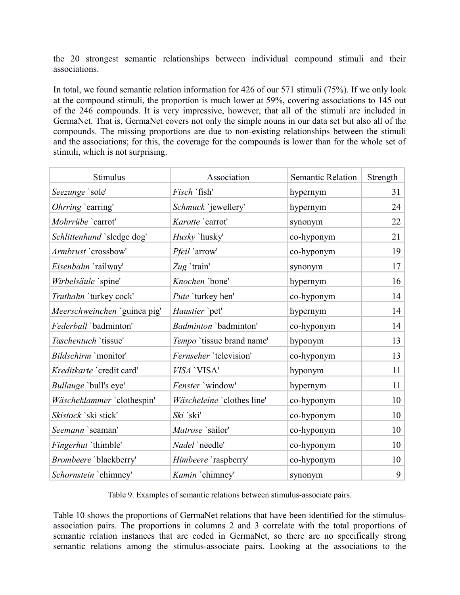the 20 strongest semantic relationships between individual compound stimuli and their associations.

In total, we found semantic relation information for 426 of our 571 stimuli (75%). If we only look at the compound stimuli, the proportion is much lower at 59%, covering associations to 145 out of the 246 compounds. It is very impressive, however, that all of the stimuli are included in GermaNet. That is, GermaNet covers not only the simple nouns in our data set but also all of the compounds. The missing proportions are due to non-existing relationships between the stimuli and the associations; for this, the coverage for the compounds is lower than for the whole set of stimuli, which is not surprising.

| Stimulus                     | Association                | <b>Semantic Relation</b> | Strength |
|------------------------------|----------------------------|--------------------------|----------|
| Seezunge 'sole'              | Fisch `fish'               | hypernym                 | 31       |
| Ohrring 'earring'            | Schmuck `jewellery'        | hypernym                 | 24       |
| Mohrrübe `carrot'            | Karotte 'carrot'           | synonym                  | 22       |
| Schlittenhund 'sledge dog'   | Husky `husky'              | co-hyponym               | 21       |
| Armbrust `crossbow'          | <i>Pfeil</i> `arrow'       | co-hyponym               | 19       |
| Eisenbahn `railway'          | $Zug$ 'train'              | synonym                  | 17       |
| Wirbelsäule `spine'          | Knochen 'bone'             | hypernym                 | 16       |
| Truthahn 'turkey cock'       | Pute 'turkey hen'          | co-hyponym               | 14       |
| Meerschweinchen 'guinea pig' | Haustier `pet'             | hypernym                 | 14       |
| Federball `badminton'        | Badminton 'badminton'      | co-hyponym               | 14       |
| Taschentuch 'tissue'         | Tempo 'tissue brand name'  | hyponym                  | 13       |
| Bildschirm 'monitor'         | Fernseher 'television'     | co-hyponym               | 13       |
| Kreditkarte `credit card'    | VISA 'VISA'                | hyponym                  | 11       |
| Bullauge 'bull's eye'        | Fenster 'window'           | hypernym                 | 11       |
| Wäscheklammer `clothespin'   | Wäscheleine 'clothes line' | co-hyponym               | 10       |
| Skistock `ski stick'         | Ski `ski'                  | co-hyponym               | 10       |
| Seemann `seaman'             | Matrose 'sailor'           | co-hyponym               | 10       |
| Fingerhut 'thimble'          | Nadel `needle'             | co-hyponym               | 10       |
| Brombeere 'blackberry'       | Himbeere 'raspberry'       | co-hyponym               | 10       |
| Schornstein 'chimney'        | Kamin 'chimney'            | synonym                  | 9        |

Table 9. Examples of semantic relations between stimulus-associate pairs.

Table 10 shows the proportions of GermaNet relations that have been identified for the stimulusassociation pairs. The proportions in columns 2 and 3 correlate with the total proportions of semantic relation instances that are coded in GermaNet, so there are no specifically strong semantic relations among the stimulus-associate pairs. Looking at the associations to the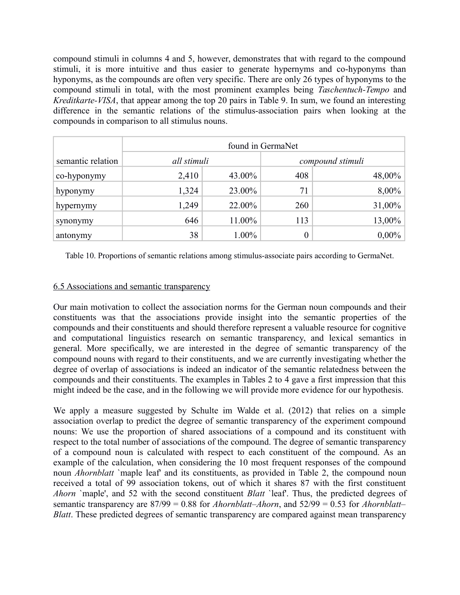compound stimuli in columns 4 and 5, however, demonstrates that with regard to the compound stimuli, it is more intuitive and thus easier to generate hypernyms and co-hyponyms than hyponyms, as the compounds are often very specific. There are only 26 types of hyponyms to the compound stimuli in total, with the most prominent examples being *Taschentuch-Tempo* and *Kreditkarte-VISA*, that appear among the top 20 pairs in Table 9. In sum, we found an interesting difference in the semantic relations of the stimulus-association pairs when looking at the compounds in comparison to all stimulus nouns.

|                   | found in GermaNet |          |     |                  |  |  |
|-------------------|-------------------|----------|-----|------------------|--|--|
| semantic relation | all stimuli       |          |     | compound stimuli |  |  |
| co-hyponymy       | 2,410             | 43.00%   | 408 | 48,00%           |  |  |
| hyponymy          | 1,324             | 23.00%   | 71  | 8,00%            |  |  |
| hypernymy         | 1,249             | 22.00%   | 260 | 31,00%           |  |  |
| synonymy          | 646               | 11.00%   | 113 | 13,00%           |  |  |
| antonymy          | 38                | $1.00\%$ |     | $0,00\%$         |  |  |

Table 10. Proportions of semantic relations among stimulus-associate pairs according to GermaNet.

# 6.5 Associations and semantic transparency

Our main motivation to collect the association norms for the German noun compounds and their constituents was that the associations provide insight into the semantic properties of the compounds and their constituents and should therefore represent a valuable resource for cognitive and computational linguistics research on semantic transparency, and lexical semantics in general. More specifically, we are interested in the degree of semantic transparency of the compound nouns with regard to their constituents, and we are currently investigating whether the degree of overlap of associations is indeed an indicator of the semantic relatedness between the compounds and their constituents. The examples in Tables 2 to 4 gave a first impression that this might indeed be the case, and in the following we will provide more evidence for our hypothesis.

We apply a measure suggested by Schulte im Walde et al. (2012) that relies on a simple association overlap to predict the degree of semantic transparency of the experiment compound nouns: We use the proportion of shared associations of a compound and its constituent with respect to the total number of associations of the compound. The degree of semantic transparency of a compound noun is calculated with respect to each constituent of the compound. As an example of the calculation, when considering the 10 most frequent responses of the compound noun *Ahornblatt* `maple leaf' and its constituents, as provided in Table 2, the compound noun received a total of 99 association tokens, out of which it shares 87 with the first constituent *Ahorn* `maple', and 52 with the second constituent *Blatt* `leaf'. Thus, the predicted degrees of semantic transparency are 87/99 = 0.88 for *Ahornblatt–Ahorn*, and 52/99 = 0.53 for *Ahornblatt– Blatt*. These predicted degrees of semantic transparency are compared against mean transparency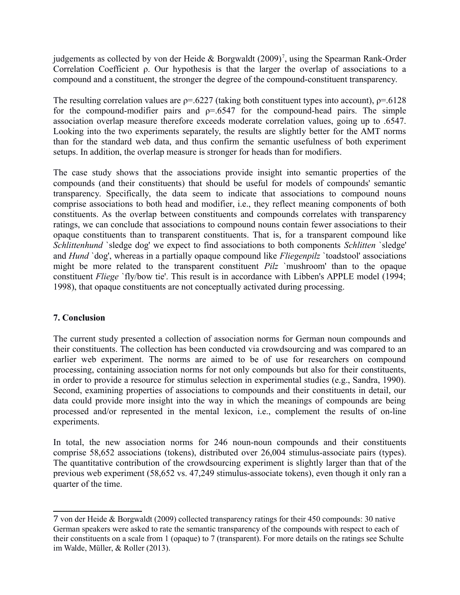judgements as collected by von der Heide & Borgwaldt  $(2009)^7$  $(2009)^7$ , using the Spearman Rank-Order Correlation Coefficient ρ. Our hypothesis is that the larger the overlap of associations to a compound and a constituent, the stronger the degree of the compound-constituent transparency.

The resulting correlation values are  $p=0.6227$  (taking both constituent types into account),  $p=0.6128$ for the compound-modifier pairs and  $p=.6547$  for the compound-head pairs. The simple association overlap measure therefore exceeds moderate correlation values, going up to .6547. Looking into the two experiments separately, the results are slightly better for the AMT norms than for the standard web data, and thus confirm the semantic usefulness of both experiment setups. In addition, the overlap measure is stronger for heads than for modifiers.

The case study shows that the associations provide insight into semantic properties of the compounds (and their constituents) that should be useful for models of compounds' semantic transparency. Specifically, the data seem to indicate that associations to compound nouns comprise associations to both head and modifier, i.e., they reflect meaning components of both constituents. As the overlap between constituents and compounds correlates with transparency ratings, we can conclude that associations to compound nouns contain fewer associations to their opaque constituents than to transparent constituents. That is, for a transparent compound like *Schlittenhund* `sledge dog' we expect to find associations to both components *Schlitten* `sledge' and *Hund* `dog', whereas in a partially opaque compound like *Fliegenpilz* `toadstool' associations might be more related to the transparent constituent *Pilz* `mushroom' than to the opaque constituent *Fliege* `fly/bow tie'. This result is in accordance with Libben's APPLE model (1994; 1998), that opaque constituents are not conceptually activated during processing.

# **7. Conclusion**

The current study presented a collection of association norms for German noun compounds and their constituents. The collection has been conducted via crowdsourcing and was compared to an earlier web experiment. The norms are aimed to be of use for researchers on compound processing, containing association norms for not only compounds but also for their constituents, in order to provide a resource for stimulus selection in experimental studies (e.g., Sandra, 1990). Second, examining properties of associations to compounds and their constituents in detail, our data could provide more insight into the way in which the meanings of compounds are being processed and/or represented in the mental lexicon, i.e., complement the results of on-line experiments.

In total, the new association norms for 246 noun-noun compounds and their constituents comprise 58,652 associations (tokens), distributed over 26,004 stimulus-associate pairs (types). The quantitative contribution of the crowdsourcing experiment is slightly larger than that of the previous web experiment (58,652 vs. 47,249 stimulus-associate tokens), even though it only ran a quarter of the time.

<span id="page-19-0"></span><sup>7</sup> von der Heide & Borgwaldt (2009) collected transparency ratings for their 450 compounds: 30 native German speakers were asked to rate the semantic transparency of the compounds with respect to each of their constituents on a scale from 1 (opaque) to 7 (transparent). For more details on the ratings see Schulte im Walde, Müller, & Roller (2013).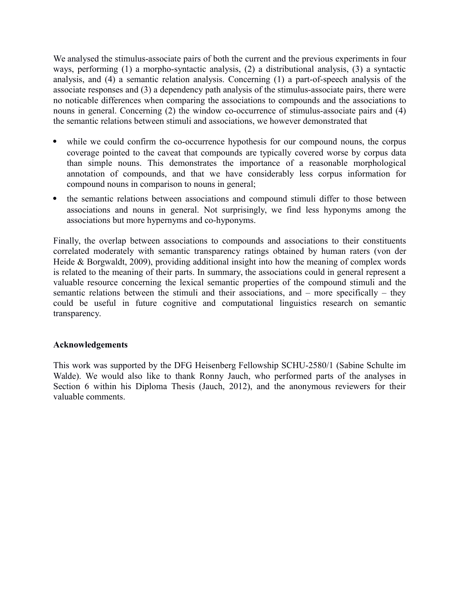We analysed the stimulus-associate pairs of both the current and the previous experiments in four ways, performing (1) a morpho-syntactic analysis, (2) a distributional analysis, (3) a syntactic analysis, and (4) a semantic relation analysis. Concerning (1) a part-of-speech analysis of the associate responses and (3) a dependency path analysis of the stimulus-associate pairs, there were no noticable differences when comparing the associations to compounds and the associations to nouns in general. Concerning (2) the window co-occurrence of stimulus-associate pairs and (4) the semantic relations between stimuli and associations, we however demonstrated that

- while we could confirm the co-occurrence hypothesis for our compound nouns, the corpus coverage pointed to the caveat that compounds are typically covered worse by corpus data than simple nouns. This demonstrates the importance of a reasonable morphological annotation of compounds, and that we have considerably less corpus information for compound nouns in comparison to nouns in general;
- the semantic relations between associations and compound stimuli differ to those between associations and nouns in general. Not surprisingly, we find less hyponyms among the associations but more hypernyms and co-hyponyms.

Finally, the overlap between associations to compounds and associations to their constituents correlated moderately with semantic transparency ratings obtained by human raters (von der Heide & Borgwaldt, 2009), providing additional insight into how the meaning of complex words is related to the meaning of their parts. In summary, the associations could in general represent a valuable resource concerning the lexical semantic properties of the compound stimuli and the semantic relations between the stimuli and their associations, and – more specifically – they could be useful in future cognitive and computational linguistics research on semantic transparency.

#### **Acknowledgements**

This work was supported by the DFG Heisenberg Fellowship SCHU-2580/1 (Sabine Schulte im Walde). We would also like to thank Ronny Jauch, who performed parts of the analyses in Section 6 within his Diploma Thesis (Jauch, 2012), and the anonymous reviewers for their valuable comments.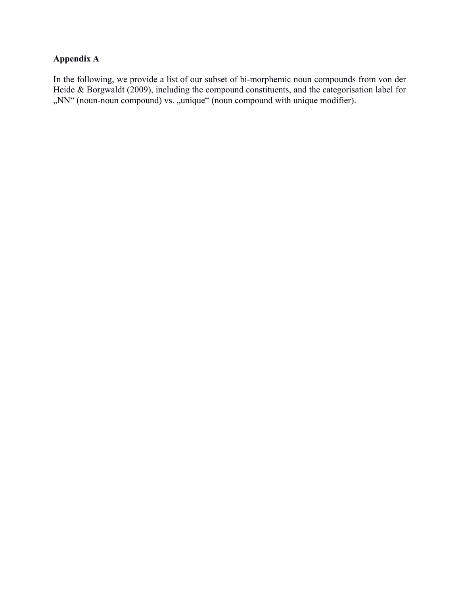# **Appendix A**

In the following, we provide a list of our subset of bi-morphemic noun compounds from von der Heide & Borgwaldt (2009), including the compound constituents, and the categorisation label for ",NN" (noun-noun compound) vs. "unique" (noun compound with unique modifier).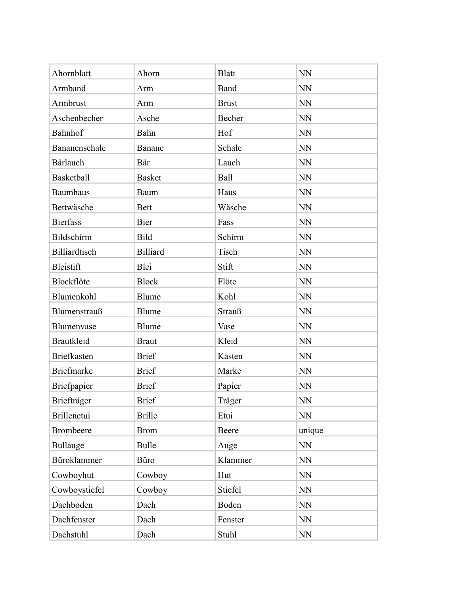| Ahornblatt         | Ahorn           | <b>Blatt</b> | <b>NN</b>                  |
|--------------------|-----------------|--------------|----------------------------|
| Armband            | Arm             | Band         | <b>NN</b>                  |
| Armbrust           | Arm             | <b>Brust</b> | <b>NN</b>                  |
| Aschenbecher       | Asche           | Becher       | <b>NN</b>                  |
| Bahnhof            | Bahn            | Hof          | <b>NN</b>                  |
| Bananenschale      | Banane          | Schale       | <b>NN</b>                  |
| Bärlauch           | Bär             | Lauch        | <b>NN</b>                  |
| Basketball         | <b>Basket</b>   | Ball         | <b>NN</b>                  |
| <b>Baumhaus</b>    | Baum            | Haus         | <b>NN</b>                  |
| Bettwäsche         | <b>Bett</b>     | Wäsche       | <b>NN</b>                  |
| <b>Bierfass</b>    | Bier            | Fass         | <b>NN</b>                  |
| Bildschirm         | Bild            | Schirm       | <b>NN</b>                  |
| Billiardtisch      | <b>Billiard</b> | Tisch        | <b>NN</b>                  |
| Bleistift          | Blei            | Stift        | <b>NN</b>                  |
| Blockflöte         | <b>Block</b>    | Flöte        | <b>NN</b>                  |
| Blumenkohl         | Blume           | Kohl         | <b>NN</b>                  |
| Blumenstrauß       | Blume           | Strauß       | <b>NN</b>                  |
| Blumenvase         | <b>Blume</b>    | Vase         | <b>NN</b>                  |
| <b>Brautkleid</b>  | <b>Braut</b>    | Kleid        | NN                         |
| <b>Briefkasten</b> | <b>Brief</b>    | Kasten       | <b>NN</b>                  |
| <b>Briefmarke</b>  | <b>Brief</b>    | Marke        | <b>NN</b>                  |
| Briefpapier        | <b>Brief</b>    | Papier       | <b>NN</b>                  |
| Briefträger        | <b>Brief</b>    | Träger       | NN                         |
| <b>Brillenetui</b> | <b>Brille</b>   | Etui         | NN                         |
| <b>Brombeere</b>   | <b>Brom</b>     | Beere        | unique                     |
| <b>Bullauge</b>    | <b>Bulle</b>    | Auge         | NN                         |
| Büroklammer        | Büro            | Klammer      | NN                         |
| Cowboyhut          | Cowboy          | Hut          | <b>NN</b>                  |
| Cowboystiefel      | Cowboy          | Stiefel      | $\rm NN$                   |
| Dachboden          | Dach            | Boden        | NN                         |
| Dachfenster        | Dach            | Fenster      | <b>NN</b>                  |
| Dachstuhl          | Dach            | Stuhl        | $\mathop{\rm NN}\nolimits$ |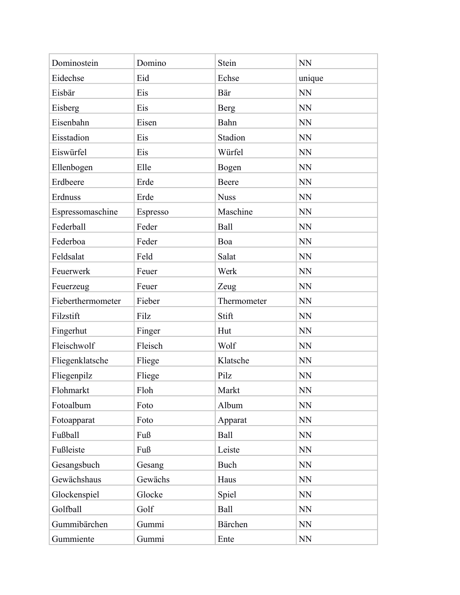| Dominostein       | Domino   | Stein       | <b>NN</b> |
|-------------------|----------|-------------|-----------|
| Eidechse          | Eid      | Echse       | unique    |
| Eisbär            | Eis      | Bär         | <b>NN</b> |
| Eisberg           | Eis      | <b>Berg</b> | <b>NN</b> |
| Eisenbahn         | Eisen    | Bahn        | <b>NN</b> |
| Eisstadion        | Eis      | Stadion     | <b>NN</b> |
| Eiswürfel         | Eis      | Würfel      | <b>NN</b> |
| Ellenbogen        | Elle     | Bogen       | <b>NN</b> |
| Erdbeere          | Erde     | Beere       | <b>NN</b> |
| Erdnuss           | Erde     | <b>Nuss</b> | <b>NN</b> |
| Espressomaschine  | Espresso | Maschine    | <b>NN</b> |
| Federball         | Feder    | Ball        | <b>NN</b> |
| Federboa          | Feder    | Boa         | <b>NN</b> |
| Feldsalat         | Feld     | Salat       | <b>NN</b> |
| Feuerwerk         | Feuer    | Werk        | <b>NN</b> |
| Feuerzeug         | Feuer    | Zeug        | <b>NN</b> |
| Fieberthermometer | Fieber   | Thermometer | <b>NN</b> |
| Filzstift         | Filz     | Stift       | <b>NN</b> |
| Fingerhut         | Finger   | Hut         | <b>NN</b> |
| Fleischwolf       | Fleisch  | Wolf        | <b>NN</b> |
| Fliegenklatsche   | Fliege   | Klatsche    | <b>NN</b> |
| Fliegenpilz       | Fliege   | Pilz        | <b>NN</b> |
| Flohmarkt         | Floh     | Markt       | <b>NN</b> |
| Fotoalbum         | Foto     | Album       | <b>NN</b> |
| Fotoapparat       | Foto     | Apparat     | <b>NN</b> |
| Fußball           | Fuß      | Ball        | <b>NN</b> |
| Fußleiste         | Fuß      | Leiste      | <b>NN</b> |
| Gesangsbuch       | Gesang   | <b>Buch</b> | <b>NN</b> |
| Gewächshaus       | Gewächs  | Haus        | <b>NN</b> |
| Glockenspiel      | Glocke   | Spiel       | <b>NN</b> |
| Golfball          | Golf     | Ball        | <b>NN</b> |
| Gummibärchen      | Gummi    | Bärchen     | <b>NN</b> |
| Gummiente         | Gummi    | Ente        | <b>NN</b> |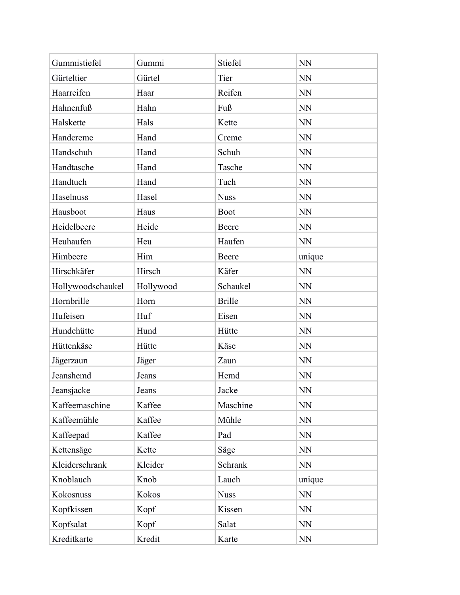| Gummistiefel      | Gummi     | Stiefel       | <b>NN</b> |
|-------------------|-----------|---------------|-----------|
| Gürteltier        | Gürtel    | Tier          | <b>NN</b> |
| Haarreifen        | Haar      | Reifen        | NN        |
| Hahnenfuß         | Hahn      | Fuß           | NN        |
| Halskette         | Hals      | Kette         | NN        |
| Handcreme         | Hand      | Creme         | <b>NN</b> |
| Handschuh         | Hand      | Schuh         | <b>NN</b> |
| Handtasche        | Hand      | Tasche        | NN        |
| Handtuch          | Hand      | Tuch          | <b>NN</b> |
| Haselnuss         | Hasel     | <b>Nuss</b>   | <b>NN</b> |
| Hausboot          | Haus      | <b>Boot</b>   | <b>NN</b> |
| Heidelbeere       | Heide     | Beere         | <b>NN</b> |
| Heuhaufen         | Heu       | Haufen        | <b>NN</b> |
| Himbeere          | Him       | Beere         | unique    |
| Hirschkäfer       | Hirsch    | Käfer         | NN        |
| Hollywoodschaukel | Hollywood | Schaukel      | NN        |
| Hornbrille        | Horn      | <b>Brille</b> | <b>NN</b> |
| Hufeisen          | Huf       | Eisen         | <b>NN</b> |
| Hundehütte        | Hund      | Hütte         | <b>NN</b> |
| Hüttenkäse        | Hütte     | Käse          | <b>NN</b> |
| Jägerzaun         | Jäger     | Zaun          | <b>NN</b> |
| Jeanshemd         | Jeans     | Hemd          | <b>NN</b> |
| Jeansjacke        | Jeans     | Jacke         | <b>NN</b> |
| Kaffeemaschine    | Kaffee    | Maschine      | <b>NN</b> |
| Kaffeemühle       | Kaffee    | Mühle         | NN        |
| Kaffeepad         | Kaffee    | Pad           | NN        |
| Kettensäge        | Kette     | Säge          | NN        |
| Kleiderschrank    | Kleider   | Schrank       | NN        |
| Knoblauch         | Knob      | Lauch         | unique    |
| Kokosnuss         | Kokos     | <b>Nuss</b>   | <b>NN</b> |
| Kopfkissen        | Kopf      | Kissen        | NN        |
| Kopfsalat         | Kopf      | Salat         | <b>NN</b> |
| Kreditkarte       | Kredit    | Karte         | <b>NN</b> |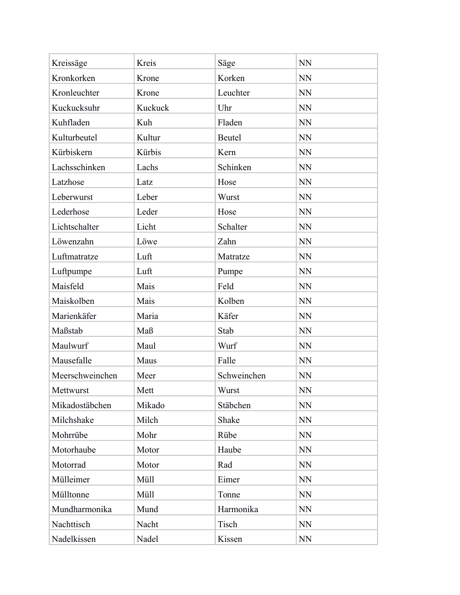| Kreissäge       | Kreis   | Säge        | <b>NN</b> |
|-----------------|---------|-------------|-----------|
| Kronkorken      | Krone   | Korken      | <b>NN</b> |
| Kronleuchter    | Krone   | Leuchter    | <b>NN</b> |
| Kuckucksuhr     | Kuckuck | Uhr         | <b>NN</b> |
| Kuhfladen       | Kuh     | Fladen      | <b>NN</b> |
| Kulturbeutel    | Kultur  | Beutel      | NN        |
| Kürbiskern      | Kürbis  | Kern        | NN        |
| Lachsschinken   | Lachs   | Schinken    | <b>NN</b> |
| Latzhose        | Latz    | Hose        | <b>NN</b> |
| Leberwurst      | Leber   | Wurst       | NN        |
| Lederhose       | Leder   | Hose        | NN        |
| Lichtschalter   | Licht   | Schalter    | <b>NN</b> |
| Löwenzahn       | Löwe    | Zahn        | NN        |
| Luftmatratze    | Luft    | Matratze    | <b>NN</b> |
| Luftpumpe       | Luft    | Pumpe       | <b>NN</b> |
| Maisfeld        | Mais    | Feld        | NN        |
| Maiskolben      | Mais    | Kolben      | <b>NN</b> |
| Marienkäfer     | Maria   | Käfer       | <b>NN</b> |
| Maßstab         | Maß     | Stab        | NN        |
| Maulwurf        | Maul    | Wurf        | <b>NN</b> |
| Mausefalle      | Maus    | Falle       | NN        |
| Meerschweinchen | Meer    | Schweinchen | <b>NN</b> |
| Mettwurst       | Mett    | Wurst       | <b>NN</b> |
| Mikadostäbchen  | Mikado  | Stäbchen    | <b>NN</b> |
| Milchshake      | Milch   | Shake       | <b>NN</b> |
| Mohrrübe        | Mohr    | Rübe        | NN        |
| Motorhaube      | Motor   | Haube       | <b>NN</b> |
| Motorrad        | Motor   | Rad         | <b>NN</b> |
| Mülleimer       | Müll    | Eimer       | <b>NN</b> |
| Mülltonne       | Müll    | Tonne       | <b>NN</b> |
| Mundharmonika   | Mund    | Harmonika   | <b>NN</b> |
| Nachttisch      | Nacht   | Tisch       | <b>NN</b> |
| Nadelkissen     | Nadel   | Kissen      | <b>NN</b> |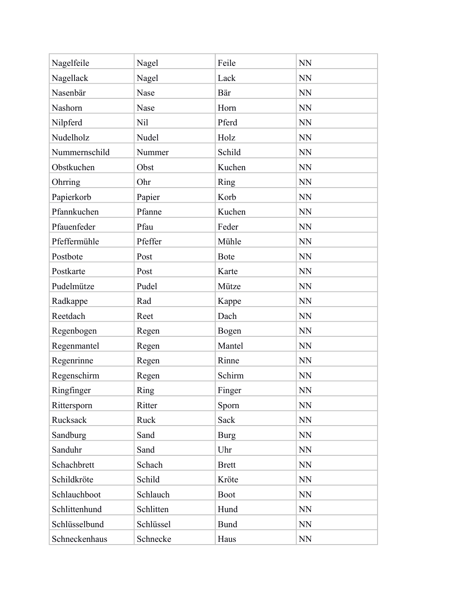| Nagelfeile    | Nagel     | Feile        | <b>NN</b> |
|---------------|-----------|--------------|-----------|
| Nagellack     | Nagel     | Lack         | <b>NN</b> |
| Nasenbär      | Nase      | Bär          | <b>NN</b> |
| Nashorn       | Nase      | Horn         | <b>NN</b> |
| Nilpferd      | Nil       | Pferd        | <b>NN</b> |
| Nudelholz     | Nudel     | Holz         | <b>NN</b> |
| Nummernschild | Nummer    | Schild       | <b>NN</b> |
| Obstkuchen    | Obst      | Kuchen       | <b>NN</b> |
| Ohrring       | Ohr       | Ring         | <b>NN</b> |
| Papierkorb    | Papier    | Korb         | <b>NN</b> |
| Pfannkuchen   | Pfanne    | Kuchen       | NN        |
| Pfauenfeder   | Pfau      | Feder        | <b>NN</b> |
| Pfeffermühle  | Pfeffer   | Mühle        | <b>NN</b> |
| Postbote      | Post      | <b>Bote</b>  | <b>NN</b> |
| Postkarte     | Post      | Karte        | <b>NN</b> |
| Pudelmütze    | Pudel     | Mütze        | NN        |
| Radkappe      | Rad       | Kappe        | <b>NN</b> |
| Reetdach      | Reet      | Dach         | <b>NN</b> |
| Regenbogen    | Regen     | Bogen        | NN        |
| Regenmantel   | Regen     | Mantel       | <b>NN</b> |
| Regenrinne    | Regen     | Rinne        | NN        |
| Regenschirm   | Regen     | Schirm       | <b>NN</b> |
| Ringfinger    | Ring      | Finger       | NN        |
| Rittersporn   | Ritter    | Sporn        | <b>NN</b> |
| Rucksack      | Ruck      | Sack         | NN        |
| Sandburg      | Sand      | <b>Burg</b>  | $\rm NN$  |
| Sanduhr       | Sand      | Uhr          | <b>NN</b> |
| Schachbrett   | Schach    | <b>Brett</b> | <b>NN</b> |
| Schildkröte   | Schild    | Kröte        | <b>NN</b> |
| Schlauchboot  | Schlauch  | <b>Boot</b>  | <b>NN</b> |
| Schlittenhund | Schlitten | Hund         | <b>NN</b> |
| Schlüsselbund | Schlüssel | <b>Bund</b>  | NN        |
| Schneckenhaus | Schnecke  | Haus         | NN        |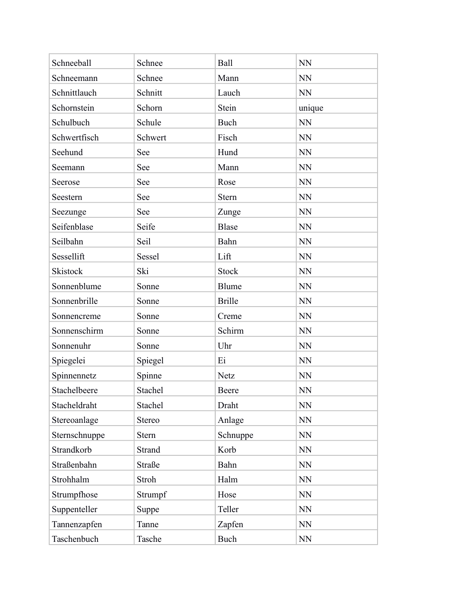| Schneeball      | Schnee  | Ball          | <b>NN</b> |
|-----------------|---------|---------------|-----------|
| Schneemann      | Schnee  | Mann          | <b>NN</b> |
| Schnittlauch    | Schnitt | Lauch         | <b>NN</b> |
| Schornstein     | Schorn  | Stein         | unique    |
| Schulbuch       | Schule  | <b>Buch</b>   | <b>NN</b> |
| Schwertfisch    | Schwert | Fisch         | <b>NN</b> |
| Seehund         | See     | Hund          | <b>NN</b> |
| Seemann         | See     | Mann          | <b>NN</b> |
| Seerose         | See     | Rose          | <b>NN</b> |
| Seestern        | See     | <b>Stern</b>  | <b>NN</b> |
| Seezunge        | See     | Zunge         | <b>NN</b> |
| Seifenblase     | Seife   | <b>Blase</b>  | <b>NN</b> |
| Seilbahn        | Seil    | Bahn          | <b>NN</b> |
| Sessellift      | Sessel  | Lift          | <b>NN</b> |
| <b>Skistock</b> | Ski     | <b>Stock</b>  | <b>NN</b> |
| Sonnenblume     | Sonne   | Blume         | <b>NN</b> |
| Sonnenbrille    | Sonne   | <b>Brille</b> | <b>NN</b> |
| Sonnencreme     | Sonne   | Creme         | <b>NN</b> |
| Sonnenschirm    | Sonne   | Schirm        | <b>NN</b> |
| Sonnenuhr       | Sonne   | Uhr           | <b>NN</b> |
| Spiegelei       | Spiegel | Ei            | <b>NN</b> |
| Spinnennetz     | Spinne  | <b>Netz</b>   | <b>NN</b> |
| Stachelbeere    | Stachel | Beere         | <b>NN</b> |
| Stacheldraht    | Stachel | Draht         | <b>NN</b> |
| Stereoanlage    | Stereo  | Anlage        | <b>NN</b> |
| Sternschnuppe   | Stern   | Schnuppe      | <b>NN</b> |
| Strandkorb      | Strand  | Korb          | <b>NN</b> |
| Straßenbahn     | Straße  | Bahn          | <b>NN</b> |
| Strohhalm       | Stroh   | Halm          | <b>NN</b> |
| Strumpfhose     | Strumpf | Hose          | <b>NN</b> |
| Suppenteller    | Suppe   | Teller        | <b>NN</b> |
| Tannenzapfen    | Tanne   | Zapfen        | <b>NN</b> |
| Taschenbuch     | Tasche  | Buch          | NN        |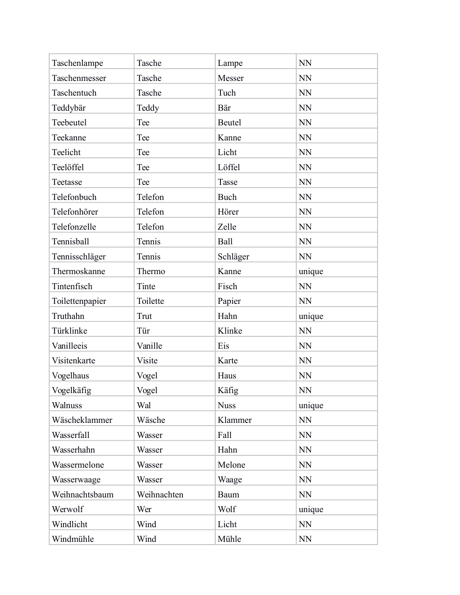| Taschenlampe    | Tasche      | Lampe       | <b>NN</b> |
|-----------------|-------------|-------------|-----------|
| Taschenmesser   | Tasche      | Messer      | <b>NN</b> |
| Taschentuch     | Tasche      | Tuch        | <b>NN</b> |
| Teddybär        | Teddy       | Bär         | <b>NN</b> |
| Teebeutel       | Tee         | Beutel      | <b>NN</b> |
| Teekanne        | Tee         | Kanne       | <b>NN</b> |
| Teelicht        | Tee         | Licht       | <b>NN</b> |
| Teelöffel       | Tee         | Löffel      | <b>NN</b> |
| Teetasse        | Tee         | Tasse       | <b>NN</b> |
| Telefonbuch     | Telefon     | <b>Buch</b> | <b>NN</b> |
| Telefonhörer    | Telefon     | Hörer       | <b>NN</b> |
| Telefonzelle    | Telefon     | Zelle       | <b>NN</b> |
| Tennisball      | Tennis      | Ball        | <b>NN</b> |
| Tennisschläger  | Tennis      | Schläger    | <b>NN</b> |
| Thermoskanne    | Thermo      | Kanne       | unique    |
| Tintenfisch     | Tinte       | Fisch       | <b>NN</b> |
| Toilettenpapier | Toilette    | Papier      | <b>NN</b> |
| Truthahn        | Trut        | Hahn        | unique    |
| Türklinke       | Tür         | Klinke      | <b>NN</b> |
| Vanilleeis      | Vanille     | Eis         | <b>NN</b> |
| Visitenkarte    | Visite      | Karte       | <b>NN</b> |
| Vogelhaus       | Vogel       | Haus        | <b>NN</b> |
| Vogelkäfig      | Vogel       | Käfig       | <b>NN</b> |
| Walnuss         | Wal         | <b>Nuss</b> | unique    |
| Wäscheklammer   | Wäsche      | Klammer     | <b>NN</b> |
| Wasserfall      | Wasser      | Fall        | NN        |
| Wasserhahn      | Wasser      | Hahn        | <b>NN</b> |
| Wassermelone    | Wasser      | Melone      | <b>NN</b> |
| Wasserwaage     | Wasser      | Waage       | NN        |
| Weihnachtsbaum  | Weihnachten | Baum        | NN        |
| Werwolf         | Wer         | Wolf        | unique    |
| Windlicht       | Wind        | Licht       | <b>NN</b> |
| Windmühle       | Wind        | Mühle       | NN        |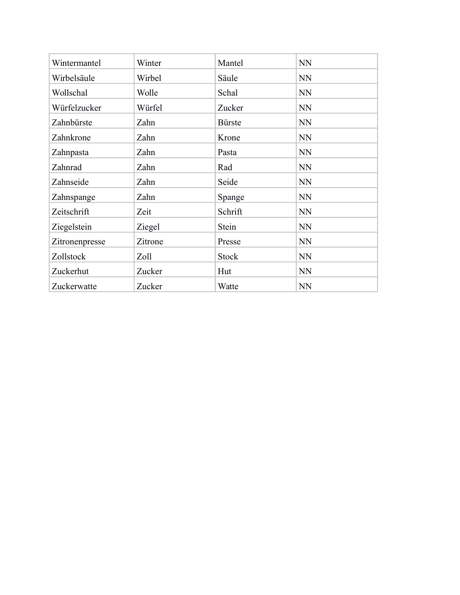| Wintermantel   | Winter  | Mantel        | <b>NN</b> |
|----------------|---------|---------------|-----------|
| Wirbelsäule    | Wirbel  | Säule         | <b>NN</b> |
| Wollschal      | Wolle   | Schal         | <b>NN</b> |
| Würfelzucker   | Würfel  | Zucker        | <b>NN</b> |
| Zahnbürste     | Zahn    | <b>Bürste</b> | <b>NN</b> |
| Zahnkrone      | Zahn    | Krone         | <b>NN</b> |
| Zahnpasta      | Zahn    | Pasta         | <b>NN</b> |
| Zahnrad        | Zahn    | Rad           | <b>NN</b> |
| Zahnseide      | Zahn    | Seide         | <b>NN</b> |
| Zahnspange     | Zahn    | Spange        | <b>NN</b> |
| Zeitschrift    | Zeit    | Schrift       | <b>NN</b> |
| Ziegelstein    | Ziegel  | Stein         | <b>NN</b> |
| Zitronenpresse | Zitrone | Presse        | <b>NN</b> |
| Zollstock      | Zoll    | <b>Stock</b>  | <b>NN</b> |
| Zuckerhut      | Zucker  | Hut           | <b>NN</b> |
| Zuckerwatte    | Zucker  | Watte         | <b>NN</b> |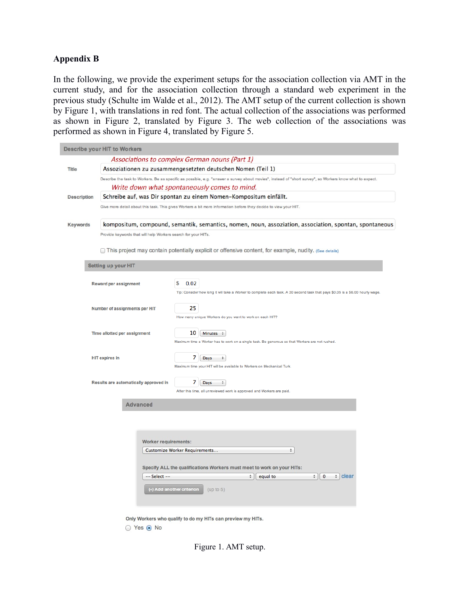#### **Appendix B**

In the following, we provide the experiment setups for the association collection via AMT in the current study, and for the association collection through a standard web experiment in the previous study (Schulte im Walde et al., 2012). The AMT setup of the current collection is shown by Figure 1, with translations in red font. The actual collection of the associations was performed as shown in Figure 2, translated by Figure 3. The web collection of the associations was performed as shown in Figure 4, translated by Figure 5.

|                    | Describe your HIT to Workers                                                                           |                                                                                                                                                           |  |  |  |
|--------------------|--------------------------------------------------------------------------------------------------------|-----------------------------------------------------------------------------------------------------------------------------------------------------------|--|--|--|
|                    |                                                                                                        | Associations to complex German nouns (Part 1)                                                                                                             |  |  |  |
| <b>Title</b>       |                                                                                                        | Assoziationen zu zusammengesetzten deutschen Nomen (Teil 1)                                                                                               |  |  |  |
|                    |                                                                                                        | Describe the task to Workers. Be as specific as possible, e.g. "answer a survey about movies", instead of "short survey", so Workers know what to expect. |  |  |  |
|                    | Write down what spontaneously comes to mind.                                                           |                                                                                                                                                           |  |  |  |
| <b>Description</b> | Schreibe auf, was Dir spontan zu einem Nomen-Kompositum einfällt.                                      |                                                                                                                                                           |  |  |  |
|                    |                                                                                                        | Give more detail about this task. This gives Workers a bit more information before they decide to view your HIT.                                          |  |  |  |
| Keywords           | kompositum, compound, semantik, semantics, nomen, noun, assoziation, association, spontan, spontaneous |                                                                                                                                                           |  |  |  |
|                    | Provide keywords that will help Workers search for your HITs.                                          |                                                                                                                                                           |  |  |  |
|                    |                                                                                                        | This project may contain potentially explicit or offensive content, for example, nudity. (See details)                                                    |  |  |  |
|                    | <b>Setting up your HIT</b>                                                                             |                                                                                                                                                           |  |  |  |
|                    | <b>Reward per assignment</b>                                                                           | s<br>0.02                                                                                                                                                 |  |  |  |
|                    |                                                                                                        | Tip: Consider how long it will take a Worker to complete each task. A 30 second task that pays \$0.05 is a \$6.00 hourly wage.                            |  |  |  |
|                    | Number of assignments per HIT                                                                          | 25                                                                                                                                                        |  |  |  |
|                    |                                                                                                        | How many unique Workers do you want to work on each HIT?                                                                                                  |  |  |  |
|                    | Time allotted per assignment                                                                           | $10-1$<br>Minutes $\div$                                                                                                                                  |  |  |  |
|                    |                                                                                                        | Maximum time a Worker has to work on a single task. Be generous so that Workers are not rushed.                                                           |  |  |  |
|                    | <b>HIT expires in</b>                                                                                  | 7<br>Days<br>÷                                                                                                                                            |  |  |  |
|                    |                                                                                                        | Maximum time your HIT will be available to Workers on Mechanical Turk.                                                                                    |  |  |  |
|                    | Results are automatically approved in                                                                  | 7<br>Days<br>$\hat{\tau}$                                                                                                                                 |  |  |  |
|                    |                                                                                                        | After this time, all unreviewed work is approved and Workers are paid.                                                                                    |  |  |  |
|                    | <b>Advanced</b>                                                                                        |                                                                                                                                                           |  |  |  |
|                    |                                                                                                        |                                                                                                                                                           |  |  |  |
|                    |                                                                                                        |                                                                                                                                                           |  |  |  |
|                    |                                                                                                        |                                                                                                                                                           |  |  |  |
|                    | Worker requirements:                                                                                   |                                                                                                                                                           |  |  |  |
|                    |                                                                                                        | Customize Worker Requirements<br>÷                                                                                                                        |  |  |  |
|                    |                                                                                                        |                                                                                                                                                           |  |  |  |
|                    | -- Select --                                                                                           | Specify ALL the qualifications Workers must meet to work on your HITs:<br>$\div$ 0<br>$\div$ clear<br>÷<br>equal to                                       |  |  |  |
|                    |                                                                                                        |                                                                                                                                                           |  |  |  |
|                    |                                                                                                        | (+) Add another criterion<br>(up to 5)                                                                                                                    |  |  |  |
|                    |                                                                                                        |                                                                                                                                                           |  |  |  |
|                    |                                                                                                        | Only Workers who qualify to do my HITs can preview my HITs.                                                                                               |  |  |  |

Figure 1. AMT setup.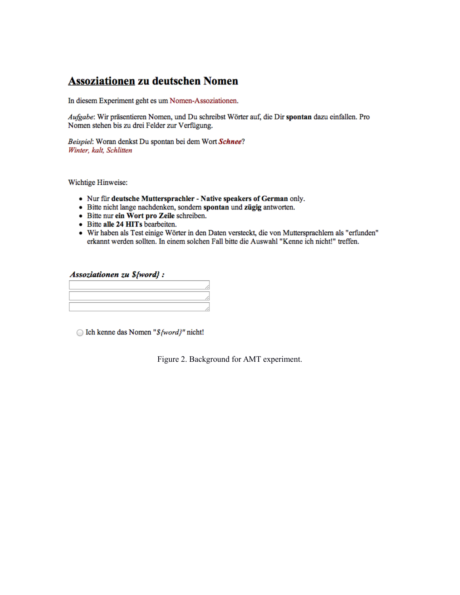# **Assoziationen zu deutschen Nomen**

In diesem Experiment geht es um Nomen-Assoziationen.

Aufgabe: Wir präsentieren Nomen, und Du schreibst Wörter auf, die Dir spontan dazu einfallen. Pro Nomen stehen bis zu drei Felder zur Verfügung.

Beispiel: Woran denkst Du spontan bei dem Wort Schnee? Winter, kalt, Schlitten

Wichtige Hinweise:

- Nur für deutsche Muttersprachler Native speakers of German only.
- · Bitte nicht lange nachdenken, sondern spontan und zügig antworten.
- Bitte nur ein Wort pro Zeile schreiben.
- Bitte alle 24 HITs bearbeiten.
- · Wir haben als Test einige Wörter in den Daten versteckt, die von Muttersprachlern als "erfunden" erkannt werden sollten. In einem solchen Fall bitte die Auswahl "Kenne ich nicht!" treffen.

#### Assoziationen zu \${word} :

◯ Ich kenne das Nomen "\${word}" nicht!

Figure 2. Background for AMT experiment.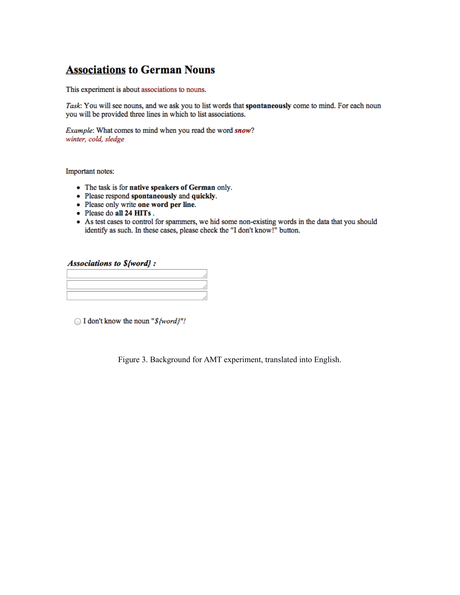# **Associations to German Nouns**

This experiment is about associations to nouns.

Task: You will see nouns, and we ask you to list words that spontaneously come to mind. For each noun you will be provided three lines in which to list associations.

Example: What comes to mind when you read the word snow? winter, cold, sledge

Important notes:

- The task is for native speakers of German only.
- Please respond spontaneously and quickly.
- Please only write one word per line.
- Please do all 24 HITs.
- As test cases to control for spammers, we hid some non-existing words in the data that you should identify as such. In these cases, please check the "I don't know!" button.

**Associations to S{word}:** 

 $\bigcirc$  I don't know the noun "\${word}"!

Figure 3. Background for AMT experiment, translated into English.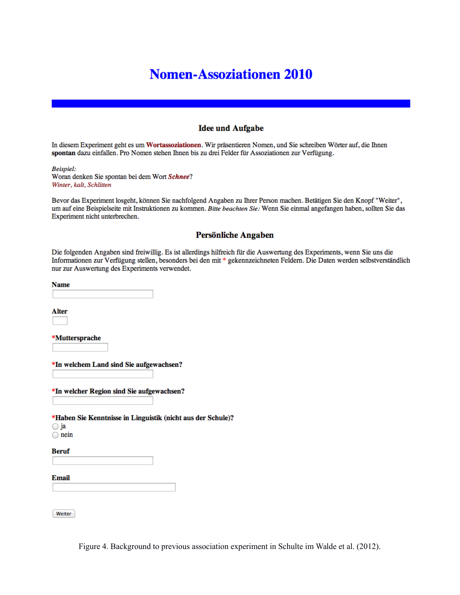# **Nomen-Assoziationen 2010**

#### **Idee und Aufgabe**

In diesem Experiment geht es um Wortassoziationen. Wir präsentieren Nomen, und Sie schreiben Wörter auf, die Ihnen spontan dazu einfallen. Pro Nomen stehen Ihnen bis zu drei Felder für Assoziationen zur Verfügung.

**Beispiel:** Woran denken Sie spontan bei dem Wort Schnee? Winter, kalt, Schlitten

Bevor das Experiment losgeht, können Sie nachfolgend Angaben zu Ihrer Person machen. Betätigen Sie den Knopf "Weiter", um auf eine Beispielseite mit Instruktionen zu kommen. Bitte beachten Sie: Wenn Sie einmal angefangen haben, sollten Sie das Experiment nicht unterbrechen.

#### Persönliche Angaben

Die folgenden Angaben sind freiwillig. Es ist allerdings hilfreich für die Auswertung des Experiments, wenn Sie uns die Informationen zur Verfügung stellen, besonders bei den mit \* gekennzeichneten Feldern. Die Daten werden selbstverständlich nur zur Auswertung des Experiments verwendet.

**Name** 

Alter

\*Muttersprache

\*In welchem Land sind Sie aufgewachsen?

\*In welcher Region sind Sie aufgewachsen?

\*Haben Sie Kenntnisse in Linguistik (nicht aus der Schule)?

◯ ja

 $\bigcirc$  nein

**Beruf** 

Email

Weiter

Figure 4. Background to previous association experiment in Schulte im Walde et al. (2012).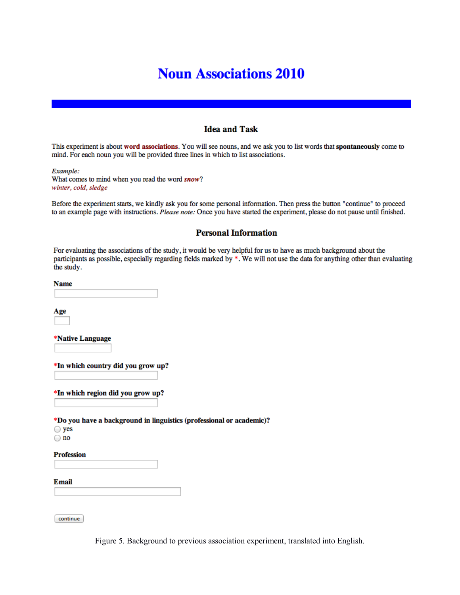# **Noun Associations 2010**

#### **Idea and Task**

This experiment is about word associations. You will see nouns, and we ask you to list words that spontaneously come to mind. For each noun you will be provided three lines in which to list associations.

Example: What comes to mind when you read the word snow? winter, cold, sledge

Before the experiment starts, we kindly ask you for some personal information. Then press the button "continue" to proceed to an example page with instructions. Please note: Once you have started the experiment, please do not pause until finished.

#### **Personal Information**

For evaluating the associations of the study, it would be very helpful for us to have as much background about the participants as possible, especially regarding fields marked by \*. We will not use the data for anything other than evaluating the study.

**Name** 

Age

\*Native Language

\*In which country did you grow up?

\*In which region did you grow up?

\*Do you have a background in linguistics (professional or academic)?  $\bigcirc$  yes

 $\bigcirc$  no

**Profession** 

Email

continue

Figure 5. Background to previous association experiment, translated into English.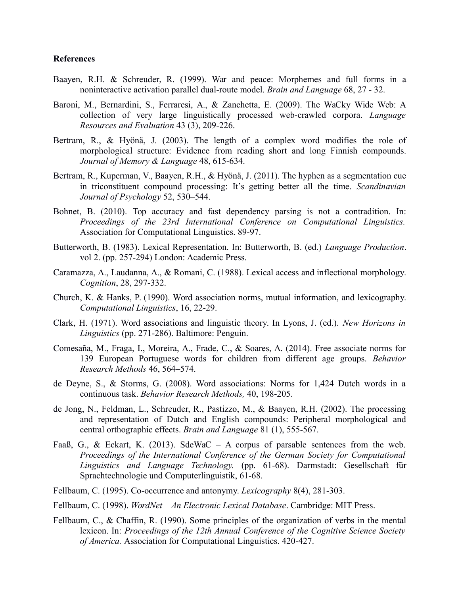#### **References**

- Baayen, R.H. & Schreuder, R. (1999). War and peace: Morphemes and full forms in a noninteractive activation parallel dual-route model. *Brain and Language* 68, 27 - 32.
- Baroni, M., Bernardini, S., Ferraresi, A., & Zanchetta, E. (2009). The WaCky Wide Web: A collection of very large linguistically processed web-crawled corpora. *Language Resources and Evaluation* 43 (3), 209-226.
- Bertram, R., & Hyönä, J. (2003). The length of a complex word modifies the role of morphological structure: Evidence from reading short and long Finnish compounds. *Journal of Memory & Language* 48, 615-634.
- Bertram, R., Kuperman, V., Baayen, R.H., & Hyönä, J. (2011). The hyphen as a segmentation cue in triconstituent compound processing: It's getting better all the time. *Scandinavian Journal of Psychology* 52, 530–544.
- Bohnet, B. (2010). Top accuracy and fast dependency parsing is not a contradition. In: *Proceedings of the 23rd International Conference on Computational Linguistics.* Association for Computational Linguistics. 89-97.
- Butterworth, B. (1983). Lexical Representation. In: Butterworth, B. (ed.) *Language Production*. vol 2. (pp. 257-294) London: Academic Press.
- Caramazza, A., Laudanna, A., & Romani, C. (1988). Lexical access and inflectional morphology. *Cognition*, 28, 297-332.
- Church, K. & Hanks, P. (1990). Word association norms, mutual information, and lexicography. *Computational Linguistics*, 16, 22-29.
- Clark, H. (1971). Word associations and linguistic theory. In Lyons, J. (ed.). *New Horizons in Linguistics* (pp. 271-286). Baltimore: Penguin.
- Comesaña, M., Fraga, I., Moreira, A., Frade, C., & Soares, A. (2014). Free associate norms for 139 European Portuguese words for children from different age groups. *Behavior Research Methods* 46, 564–574.
- de Deyne, S., & Storms, G. (2008). Word associations: Norms for 1,424 Dutch words in a continuous task. *Behavior Research Methods,* 40, 198-205.
- de Jong, N., Feldman, L., Schreuder, R., Pastizzo, M., & Baayen, R.H. (2002). The processing and representation of Dutch and English compounds: Peripheral morphological and central orthographic effects. *Brain and Language* 81 (1), 555-567.
- Faaß, G., & Eckart, K. (2013). SdeWaC A corpus of parsable sentences from the web. *Proceedings of the International Conference of the German Society for Computational Linguistics and Language Technology.* (pp. 61-68). Darmstadt: Gesellschaft für Sprachtechnologie und Computerlinguistik, 61-68.
- Fellbaum, C. (1995). Co-occurrence and antonymy. *Lexicography* 8(4), 281-303.
- Fellbaum, C. (1998). *WordNet An Electronic Lexical Database*. Cambridge: MIT Press.
- Fellbaum, C., & Chaffin, R. (1990). Some principles of the organization of verbs in the mental lexicon. In: *Proceedings of the 12th Annual Conference of the Cognitive Science Society of America.* Association for Computational Linguistics. 420-427.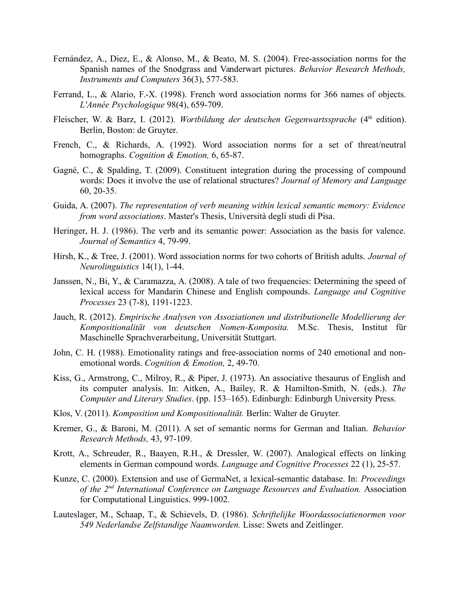- Fernández, A., Diez, E., & Alonso, M., & Beato, M. S. (2004). Free-association norms for the Spanish names of the Snodgrass and Vanderwart pictures. *Behavior Research Methods, Instruments and Computers* 36(3), 577-583.
- Ferrand, L., & Alario, F.-X. (1998). French word association norms for 366 names of objects. *L'Année Psychologique* 98(4), 659-709.
- Fleischer, W. & Barz, I. (2012). *Wortbildung der deutschen Gegenwartssprache* (4<sup>th</sup> edition). Berlin, Boston: de Gruyter.
- French, C., & Richards, A. (1992). Word association norms for a set of threat/neutral homographs. *Cognition & Emotion,* 6, 65-87.
- Gagné, C., & Spalding, T. (2009). Constituent integration during the processing of compound words: Does it involve the use of relational structures? *Journal of Memory and Language* 60, 20-35.
- Guida, A. (2007). *The representation of verb meaning within lexical semantic memory: Evidence from word associations*. Master's Thesis, Università degli studi di Pisa.
- Heringer, H. J. (1986). The verb and its semantic power: Association as the basis for valence. *Journal of Semantics* 4, 79-99.
- Hirsh, K., & Tree, J. (2001). Word association norms for two cohorts of British adults. *Journal of Neurolinguistics* 14(1), 1-44.
- Janssen, N., Bi, Y., & Caramazza, A. (2008). A tale of two frequencies: Determining the speed of lexical access for Mandarin Chinese and English compounds. *Language and Cognitive Processes* 23 (7-8), 1191-1223.
- Jauch, R. (2012). *Empirische Analysen von Assoziationen und distributionelle Modellierung der Kompositionalität von deutschen Nomen-Komposita.* M.Sc. Thesis, Institut für Maschinelle Sprachverarbeitung, Universität Stuttgart.
- John, C. H. (1988). Emotionality ratings and free-association norms of 240 emotional and nonemotional words. *Cognition & Emotion,* 2, 49-70.
- Kiss, G., Armstrong, C., Milroy, R., & Piper, J. (1973). An associative thesaurus of English and its computer analysis. In: Aitken, A., Bailey, R. & Hamilton-Smith, N. (eds.). *The Computer and Literary Studies*. (pp. 153–165). Edinburgh: Edinburgh University Press.
- Klos, V. (2011). *Komposition und Kompositionalität.* Berlin: Walter de Gruyter.
- Kremer, G., & Baroni, M. (2011). A set of semantic norms for German and Italian. *Behavior Research Methods,* 43, 97-109.
- Krott, A., Schreuder, R., Baayen, R.H., & Dressler, W. (2007). Analogical effects on linking elements in German compound words. *Language and Cognitive Processes* 22 (1), 25-57.
- Kunze, C. (2000). Extension and use of GermaNet, a lexical-semantic database. In: *Proceedings of the 2nd International Conference on Language Resources and Evaluation.* Association for Computational Linguistics. 999-1002.
- Lauteslager, M., Schaap, T., & Schievels, D. (1986). *Schriftelijke Woordassociatienormen voor 549 Nederlandse Zelfstandige Naamworden.* Lisse: Swets and Zeitlinger.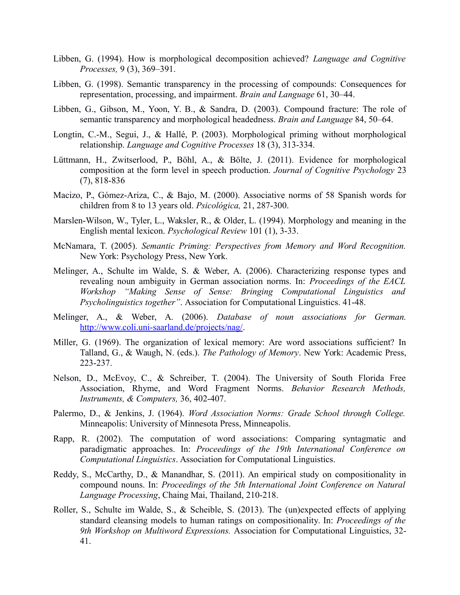- Libben, G. (1994). How is morphological decomposition achieved? *Language and Cognitive Processes,* 9 (3), 369–391.
- Libben, G. (1998). Semantic transparency in the processing of compounds: Consequences for representation, processing, and impairment. *Brain and Language* 61, 30–44.
- Libben, G., Gibson, M., Yoon, Y. B., & Sandra, D. (2003). Compound fracture: The role of semantic transparency and morphological headedness. *Brain and Language* 84, 50–64.
- Longtin, C.-M., Segui, J., & Hallé, P. (2003). Morphological priming without morphological relationship. *Language and Cognitive Processes* 18 (3), 313-334.
- Lüttmann, H., Zwitserlood, P., Böhl, A., & Bölte, J. (2011). Evidence for morphological composition at the form level in speech production. *Journal of Cognitive Psychology* 23 (7), 818-836
- Macizo, P., Gómez-Ariza, C., & Bajo, M. (2000). Associative norms of 58 Spanish words for children from 8 to 13 years old. *Psicológica,* 21, 287-300.
- Marslen-Wilson, W., Tyler, L., Waksler, R., & Older, L. (1994). Morphology and meaning in the English mental lexicon. *Psychological Review* 101 (1), 3-33.
- McNamara, T. (2005). *Semantic Priming: Perspectives from Memory and Word Recognition.* New York: Psychology Press, New York.
- Melinger, A., Schulte im Walde, S. & Weber, A. (2006). Characterizing response types and revealing noun ambiguity in German association norms. In: *Proceedings of the EACL Workshop "Making Sense of Sense: Bringing Computational Linguistics and Psycholinguistics together"*. Association for Computational Linguistics. 41-48.
- Melinger, A., & Weber, A. (2006). *Database of noun associations for German.* [http://www.coli.uni-saarland.de/projects/nag/.](http://www.coli.uni-saarland.de/projects/nag/)
- Miller, G. (1969). The organization of lexical memory: Are word associations sufficient? In Talland, G., & Waugh, N. (eds.). *The Pathology of Memory*. New York: Academic Press, 223-237.
- Nelson, D., McEvoy, C., & Schreiber, T. (2004). The University of South Florida Free Association, Rhyme, and Word Fragment Norms. *Behavior Research Methods, Instruments, & Computers,* 36, 402-407.
- Palermo, D., & Jenkins, J. (1964). *Word Association Norms: Grade School through College.* Minneapolis: University of Minnesota Press, Minneapolis.
- Rapp, R. (2002). The computation of word associations: Comparing syntagmatic and paradigmatic approaches. In: *Proceedings of the 19th International Conference on Computational Linguistics*. Association for Computational Linguistics.
- Reddy, S., McCarthy, D., & Manandhar, S. (2011). An empirical study on compositionality in compound nouns. In: *Proceedings of the 5th International Joint Conference on Natural Language Processing*, Chaing Mai, Thailand, 210-218.
- Roller, S., Schulte im Walde, S., & Scheible, S. (2013). The (un)expected effects of applying standard cleansing models to human ratings on compositionality. In: *Proceedings of the 9th Workshop on Multiword Expressions.* Association for Computational Linguistics, 32- 41.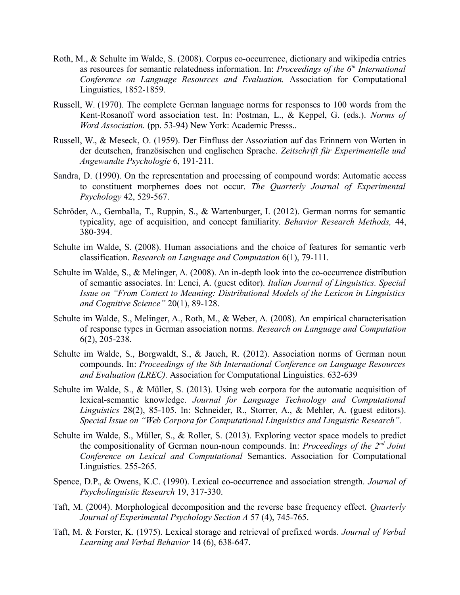- Roth, M., & Schulte im Walde, S. (2008). Corpus co-occurrence, dictionary and wikipedia entries as resources for semantic relatedness information. In: *Proceedings of the 6th International Conference on Language Resources and Evaluation.* Association for Computational Linguistics, 1852-1859.
- Russell, W. (1970). The complete German language norms for responses to 100 words from the Kent-Rosanoff word association test. In: Postman, L., & Keppel, G. (eds.). *Norms of Word Association.* (pp. 53-94) New York: Academic Presss..
- Russell, W., & Meseck, O. (1959). Der Einfluss der Assoziation auf das Erinnern von Worten in der deutschen, französischen und englischen Sprache. *Zeitschrift für Experimentelle und Angewandte Psychologie* 6, 191-211.
- Sandra, D. (1990). On the representation and processing of compound words: Automatic access to constituent morphemes does not occur. *The Quarterly Journal of Experimental Psychology* 42, 529-567.
- Schröder, A., Gemballa, T., Ruppin, S., & Wartenburger, I. (2012). German norms for semantic typicality, age of acquisition, and concept familiarity. *Behavior Research Methods,* 44, 380-394.
- Schulte im Walde, S. (2008). Human associations and the choice of features for semantic verb classification. *Research on Language and Computation* 6(1), 79-111.
- Schulte im Walde, S., & Melinger, A. (2008). An in-depth look into the co-occurrence distribution of semantic associates. In: Lenci, A. (guest editor). *Italian Journal of Linguistics. Special Issue on "From Context to Meaning: Distributional Models of the Lexicon in Linguistics and Cognitive Science"* 20(1), 89-128.
- Schulte im Walde, S., Melinger, A., Roth, M., & Weber, A. (2008). An empirical characterisation of response types in German association norms. *Research on Language and Computation* 6(2), 205-238.
- Schulte im Walde, S., Borgwaldt, S., & Jauch, R. (2012). Association norms of German noun compounds. In: *Proceedings of the 8th International Conference on Language Resources and Evaluation (LREC).* Association for Computational Linguistics. 632-639
- Schulte im Walde, S., & Müller, S. (2013). Using web corpora for the automatic acquisition of lexical-semantic knowledge. *Journal for Language Technology and Computational Linguistics* 28(2), 85-105. In: Schneider, R., Storrer, A., & Mehler, A. (guest editors). *Special Issue on "Web Corpora for Computational Linguistics and Linguistic Research".*
- Schulte im Walde, S., Müller, S., & Roller, S. (2013). Exploring vector space models to predict the compositionality of German noun-noun compounds. In: *Proceedings of the 2nd Joint Conference on Lexical and Computational* Semantics. Association for Computational Linguistics. 255-265.
- Spence, D.P., & Owens, K.C. (1990). Lexical co-occurrence and association strength. *Journal of Psycholinguistic Research* 19, 317-330.
- Taft, M. (2004). Morphological decomposition and the reverse base frequency effect. *Quarterly Journal of Experimental Psychology Section A* 57 (4), 745-765.
- Taft, M. & Forster, K. (1975). Lexical storage and retrieval of prefixed words. *Journal of Verbal Learning and Verbal Behavior* 14 (6), 638-647.